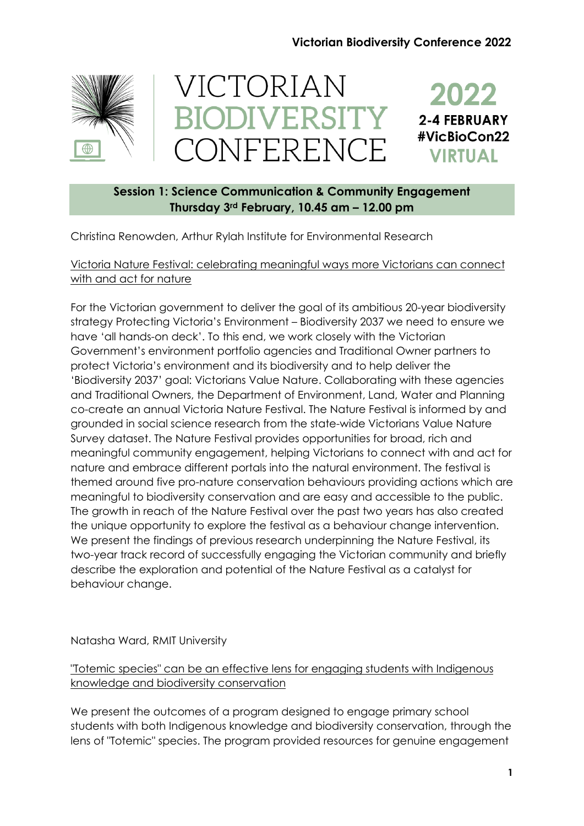# **Victorian Biodiversity Conference 2022**



# VICTORIAN **BIODIVERSITY** CONFERENCE



# **Session 1: Science Communication & Community Engagement Thursday 3rd February, 10.45 am – 12.00 pm**

Christina Renowden, Arthur Rylah Institute for Environmental Research

# Victoria Nature Festival: celebrating meaningful ways more Victorians can connect with and act for nature

For the Victorian government to deliver the goal of its ambitious 20-year biodiversity strategy Protecting Victoria's Environment – Biodiversity 2037 we need to ensure we have 'all hands-on deck'. To this end, we work closely with the Victorian Government's environment portfolio agencies and Traditional Owner partners to protect Victoria's environment and its biodiversity and to help deliver the 'Biodiversity 2037' goal: Victorians Value Nature. Collaborating with these agencies and Traditional Owners, the Department of Environment, Land, Water and Planning co-create an annual Victoria Nature Festival. The Nature Festival is informed by and grounded in social science research from the state-wide Victorians Value Nature Survey dataset. The Nature Festival provides opportunities for broad, rich and meaningful community engagement, helping Victorians to connect with and act for nature and embrace different portals into the natural environment. The festival is themed around five pro-nature conservation behaviours providing actions which are meaningful to biodiversity conservation and are easy and accessible to the public. The growth in reach of the Nature Festival over the past two years has also created the unique opportunity to explore the festival as a behaviour change intervention. We present the findings of previous research underpinning the Nature Festival, its two-year track record of successfully engaging the Victorian community and briefly describe the exploration and potential of the Nature Festival as a catalyst for behaviour change.

# Natasha Ward, RMIT University

"Totemic species" can be an effective lens for engaging students with Indigenous knowledge and biodiversity conservation

We present the outcomes of a program designed to engage primary school students with both Indigenous knowledge and biodiversity conservation, through the lens of "Totemic" species. The program provided resources for genuine engagement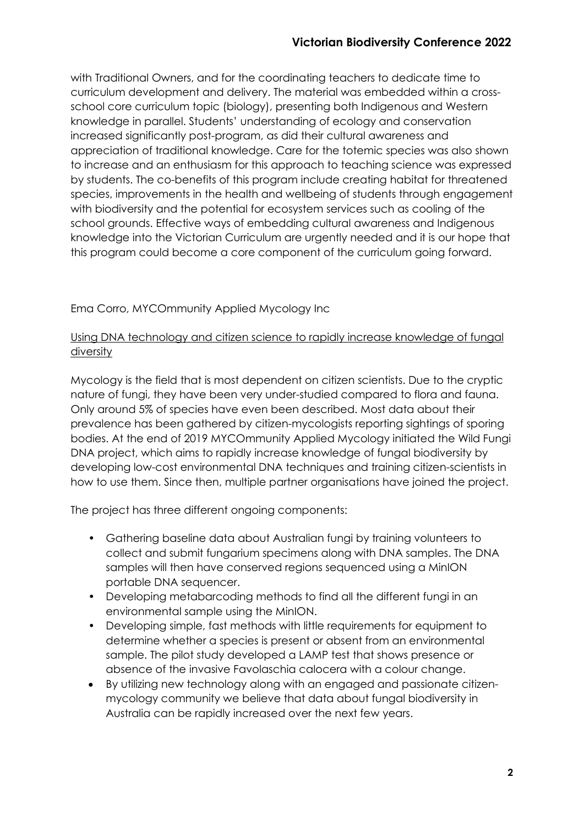with Traditional Owners, and for the coordinating teachers to dedicate time to curriculum development and delivery. The material was embedded within a crossschool core curriculum topic (biology), presenting both Indigenous and Western knowledge in parallel. Students' understanding of ecology and conservation increased significantly post-program, as did their cultural awareness and appreciation of traditional knowledge. Care for the totemic species was also shown to increase and an enthusiasm for this approach to teaching science was expressed by students. The co-benefits of this program include creating habitat for threatened species, improvements in the health and wellbeing of students through engagement with biodiversity and the potential for ecosystem services such as cooling of the school grounds. Effective ways of embedding cultural awareness and Indigenous knowledge into the Victorian Curriculum are urgently needed and it is our hope that this program could become a core component of the curriculum going forward.

# Ema Corro, MYCOmmunity Applied Mycology Inc

# Using DNA technology and citizen science to rapidly increase knowledge of fungal diversity

Mycology is the field that is most dependent on citizen scientists. Due to the cryptic nature of fungi, they have been very under-studied compared to flora and fauna. Only around 5% of species have even been described. Most data about their prevalence has been gathered by citizen-mycologists reporting sightings of sporing bodies. At the end of 2019 MYCOmmunity Applied Mycology initiated the Wild Fungi DNA project, which aims to rapidly increase knowledge of fungal biodiversity by developing low-cost environmental DNA techniques and training citizen-scientists in how to use them. Since then, multiple partner organisations have joined the project.

The project has three different ongoing components:

- Gathering baseline data about Australian fungi by training volunteers to collect and submit fungarium specimens along with DNA samples. The DNA samples will then have conserved regions sequenced using a MinION portable DNA sequencer.
- Developing metabarcoding methods to find all the different fungi in an environmental sample using the MinION.
- Developing simple, fast methods with little requirements for equipment to determine whether a species is present or absent from an environmental sample. The pilot study developed a LAMP test that shows presence or absence of the invasive Favolaschia calocera with a colour change.
- By utilizing new technology along with an engaged and passionate citizenmycology community we believe that data about fungal biodiversity in Australia can be rapidly increased over the next few years.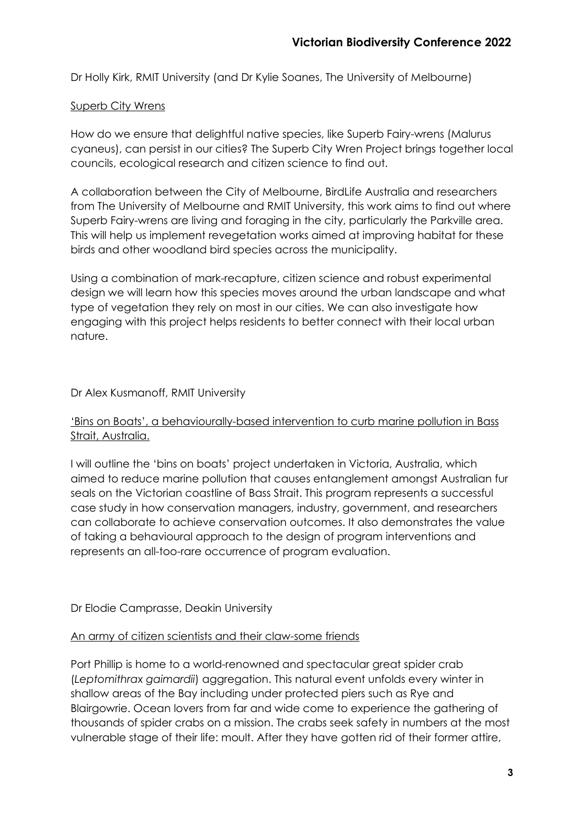Dr Holly Kirk, RMIT University (and Dr Kylie Soanes, The University of Melbourne)

#### Superb City Wrens

How do we ensure that delightful native species, like Superb Fairy-wrens (Malurus cyaneus), can persist in our cities? The Superb City Wren Project brings together local councils, ecological research and citizen science to find out.

A collaboration between the City of Melbourne, BirdLife Australia and researchers from The University of Melbourne and RMIT University, this work aims to find out where Superb Fairy-wrens are living and foraging in the city, particularly the Parkville area. This will help us implement revegetation works aimed at improving habitat for these birds and other woodland bird species across the municipality.

Using a combination of mark-recapture, citizen science and robust experimental design we will learn how this species moves around the urban landscape and what type of vegetation they rely on most in our cities. We can also investigate how engaging with this project helps residents to better connect with their local urban nature.

# Dr Alex Kusmanoff, RMIT University

# 'Bins on Boats', a behaviourally-based intervention to curb marine pollution in Bass Strait, Australia.

I will outline the 'bins on boats' project undertaken in Victoria, Australia, which aimed to reduce marine pollution that causes entanglement amongst Australian fur seals on the Victorian coastline of Bass Strait. This program represents a successful case study in how conservation managers, industry, government, and researchers can collaborate to achieve conservation outcomes. It also demonstrates the value of taking a behavioural approach to the design of program interventions and represents an all-too-rare occurrence of program evaluation.

# Dr Elodie Camprasse, Deakin University

#### An army of citizen scientists and their claw-some friends

Port Phillip is home to a world-renowned and spectacular great spider crab (*Leptomithrax gaimardii*) aggregation. This natural event unfolds every winter in shallow areas of the Bay including under protected piers such as Rye and Blairgowrie. Ocean lovers from far and wide come to experience the gathering of thousands of spider crabs on a mission. The crabs seek safety in numbers at the most vulnerable stage of their life: moult. After they have gotten rid of their former attire,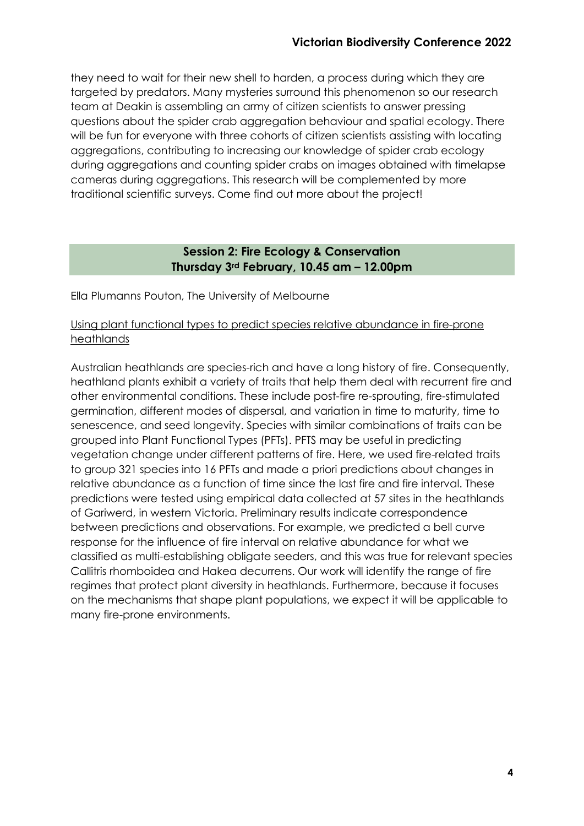they need to wait for their new shell to harden, a process during which they are targeted by predators. Many mysteries surround this phenomenon so our research team at Deakin is assembling an army of citizen scientists to answer pressing questions about the spider crab aggregation behaviour and spatial ecology. There will be fun for everyone with three cohorts of citizen scientists assisting with locating aggregations, contributing to increasing our knowledge of spider crab ecology during aggregations and counting spider crabs on images obtained with timelapse cameras during aggregations. This research will be complemented by more traditional scientific surveys. Come find out more about the project!

# **Session 2: Fire Ecology & Conservation Thursday 3rd February, 10.45 am – 12.00pm**

Ella Plumanns Pouton, The University of Melbourne

#### Using plant functional types to predict species relative abundance in fire-prone heathlands

Australian heathlands are species-rich and have a long history of fire. Consequently, heathland plants exhibit a variety of traits that help them deal with recurrent fire and other environmental conditions. These include post-fire re-sprouting, fire-stimulated germination, different modes of dispersal, and variation in time to maturity, time to senescence, and seed longevity. Species with similar combinations of traits can be grouped into Plant Functional Types (PFTs). PFTS may be useful in predicting vegetation change under different patterns of fire. Here, we used fire-related traits to group 321 species into 16 PFTs and made a priori predictions about changes in relative abundance as a function of time since the last fire and fire interval. These predictions were tested using empirical data collected at 57 sites in the heathlands of Gariwerd, in western Victoria. Preliminary results indicate correspondence between predictions and observations. For example, we predicted a bell curve response for the influence of fire interval on relative abundance for what we classified as multi-establishing obligate seeders, and this was true for relevant species Callitris rhomboidea and Hakea decurrens. Our work will identify the range of fire regimes that protect plant diversity in heathlands. Furthermore, because it focuses on the mechanisms that shape plant populations, we expect it will be applicable to many fire-prone environments.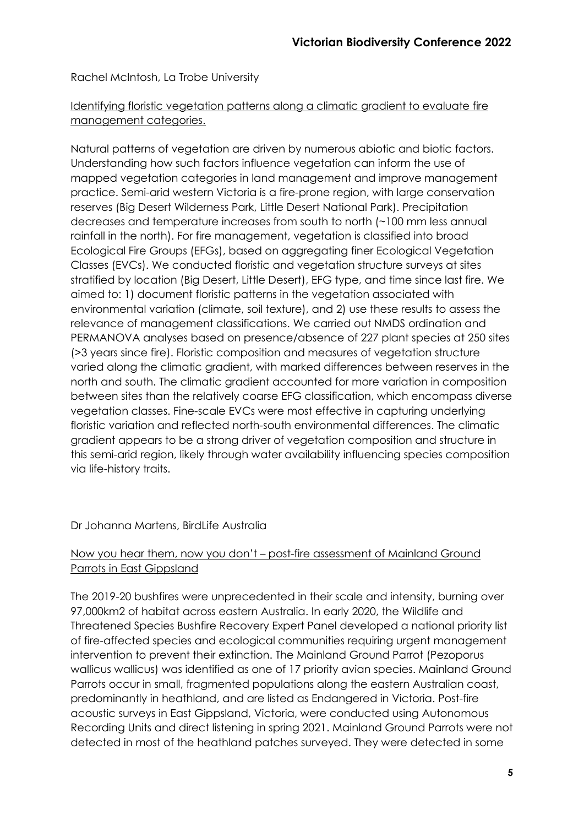Rachel McIntosh, La Trobe University

# Identifying floristic vegetation patterns along a climatic gradient to evaluate fire management categories.

Natural patterns of vegetation are driven by numerous abiotic and biotic factors. Understanding how such factors influence vegetation can inform the use of mapped vegetation categories in land management and improve management practice. Semi-arid western Victoria is a fire-prone region, with large conservation reserves (Big Desert Wilderness Park, Little Desert National Park). Precipitation decreases and temperature increases from south to north (~100 mm less annual rainfall in the north). For fire management, vegetation is classified into broad Ecological Fire Groups (EFGs), based on aggregating finer Ecological Vegetation Classes (EVCs). We conducted floristic and vegetation structure surveys at sites stratified by location (Big Desert, Little Desert), EFG type, and time since last fire. We aimed to: 1) document floristic patterns in the vegetation associated with environmental variation (climate, soil texture), and 2) use these results to assess the relevance of management classifications. We carried out NMDS ordination and PERMANOVA analyses based on presence/absence of 227 plant species at 250 sites (>3 years since fire). Floristic composition and measures of vegetation structure varied along the climatic gradient, with marked differences between reserves in the north and south. The climatic gradient accounted for more variation in composition between sites than the relatively coarse EFG classification, which encompass diverse vegetation classes. Fine-scale EVCs were most effective in capturing underlying floristic variation and reflected north-south environmental differences. The climatic gradient appears to be a strong driver of vegetation composition and structure in this semi-arid region, likely through water availability influencing species composition via life-history traits.

#### Dr Johanna Martens, BirdLife Australia

# Now you hear them, now you don't – post-fire assessment of Mainland Ground Parrots in East Gippsland

The 2019-20 bushfires were unprecedented in their scale and intensity, burning over 97,000km2 of habitat across eastern Australia. In early 2020, the Wildlife and Threatened Species Bushfire Recovery Expert Panel developed a national priority list of fire-affected species and ecological communities requiring urgent management intervention to prevent their extinction. The Mainland Ground Parrot (Pezoporus wallicus wallicus) was identified as one of 17 priority avian species. Mainland Ground Parrots occur in small, fragmented populations along the eastern Australian coast, predominantly in heathland, and are listed as Endangered in Victoria. Post-fire acoustic surveys in East Gippsland, Victoria, were conducted using Autonomous Recording Units and direct listening in spring 2021. Mainland Ground Parrots were not detected in most of the heathland patches surveyed. They were detected in some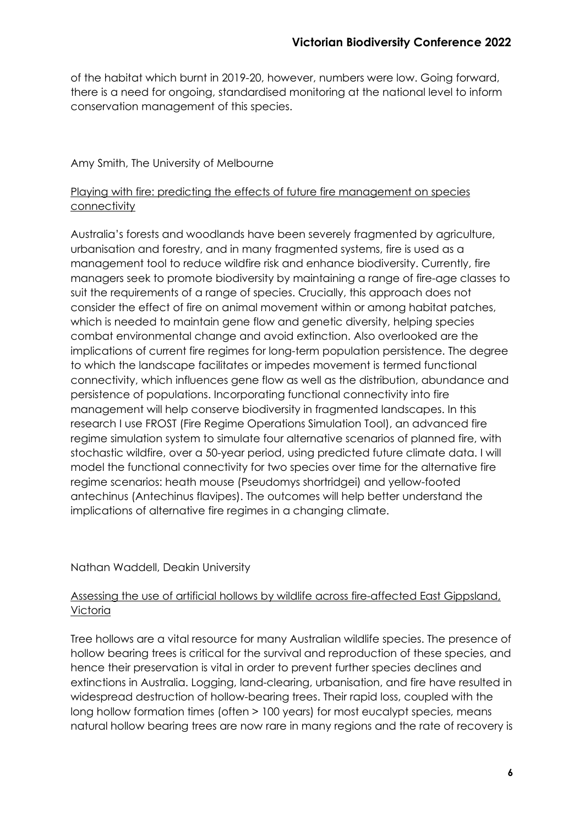of the habitat which burnt in 2019-20, however, numbers were low. Going forward, there is a need for ongoing, standardised monitoring at the national level to inform conservation management of this species.

# Amy Smith, The University of Melbourne

# Playing with fire: predicting the effects of future fire management on species connectivity

Australia's forests and woodlands have been severely fragmented by agriculture, urbanisation and forestry, and in many fragmented systems, fire is used as a management tool to reduce wildfire risk and enhance biodiversity. Currently, fire managers seek to promote biodiversity by maintaining a range of fire-age classes to suit the requirements of a range of species. Crucially, this approach does not consider the effect of fire on animal movement within or among habitat patches, which is needed to maintain gene flow and genetic diversity, helping species combat environmental change and avoid extinction. Also overlooked are the implications of current fire regimes for long-term population persistence. The degree to which the landscape facilitates or impedes movement is termed functional connectivity, which influences gene flow as well as the distribution, abundance and persistence of populations. Incorporating functional connectivity into fire management will help conserve biodiversity in fragmented landscapes. In this research I use FROST (Fire Regime Operations Simulation Tool), an advanced fire regime simulation system to simulate four alternative scenarios of planned fire, with stochastic wildfire, over a 50-year period, using predicted future climate data. I will model the functional connectivity for two species over time for the alternative fire regime scenarios: heath mouse (Pseudomys shortridgei) and yellow-footed antechinus (Antechinus flavipes). The outcomes will help better understand the implications of alternative fire regimes in a changing climate.

# Nathan Waddell, Deakin University

# Assessing the use of artificial hollows by wildlife across fire-affected East Gippsland, Victoria

Tree hollows are a vital resource for many Australian wildlife species. The presence of hollow bearing trees is critical for the survival and reproduction of these species, and hence their preservation is vital in order to prevent further species declines and extinctions in Australia. Logging, land-clearing, urbanisation, and fire have resulted in widespread destruction of hollow-bearing trees. Their rapid loss, coupled with the long hollow formation times (often > 100 years) for most eucalypt species, means natural hollow bearing trees are now rare in many regions and the rate of recovery is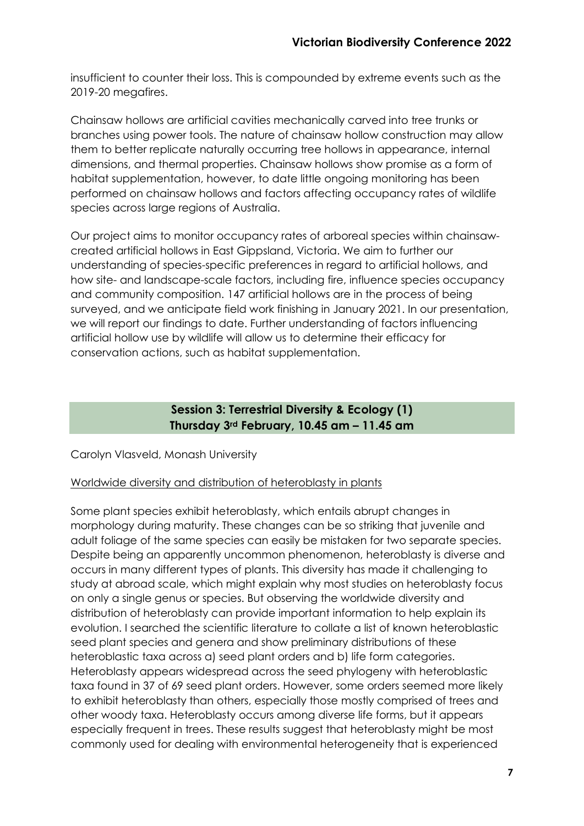insufficient to counter their loss. This is compounded by extreme events such as the 2019-20 megafires.

Chainsaw hollows are artificial cavities mechanically carved into tree trunks or branches using power tools. The nature of chainsaw hollow construction may allow them to better replicate naturally occurring tree hollows in appearance, internal dimensions, and thermal properties. Chainsaw hollows show promise as a form of habitat supplementation, however, to date little ongoing monitoring has been performed on chainsaw hollows and factors affecting occupancy rates of wildlife species across large regions of Australia.

Our project aims to monitor occupancy rates of arboreal species within chainsawcreated artificial hollows in East Gippsland, Victoria. We aim to further our understanding of species-specific preferences in regard to artificial hollows, and how site- and landscape-scale factors, including fire, influence species occupancy and community composition. 147 artificial hollows are in the process of being surveyed, and we anticipate field work finishing in January 2021. In our presentation, we will report our findings to date. Further understanding of factors influencing artificial hollow use by wildlife will allow us to determine their efficacy for conservation actions, such as habitat supplementation.

# **Session 3: Terrestrial Diversity & Ecology (1) Thursday 3rd February, 10.45 am – 11.45 am**

Carolyn Vlasveld, Monash University

#### Worldwide diversity and distribution of heteroblasty in plants

Some plant species exhibit heteroblasty, which entails abrupt changes in morphology during maturity. These changes can be so striking that juvenile and adult foliage of the same species can easily be mistaken for two separate species. Despite being an apparently uncommon phenomenon, heteroblasty is diverse and occurs in many different types of plants. This diversity has made it challenging to study at abroad scale, which might explain why most studies on heteroblasty focus on only a single genus or species. But observing the worldwide diversity and distribution of heteroblasty can provide important information to help explain its evolution. I searched the scientific literature to collate a list of known heteroblastic seed plant species and genera and show preliminary distributions of these heteroblastic taxa across a) seed plant orders and b) life form categories. Heteroblasty appears widespread across the seed phylogeny with heteroblastic taxa found in 37 of 69 seed plant orders. However, some orders seemed more likely to exhibit heteroblasty than others, especially those mostly comprised of trees and other woody taxa. Heteroblasty occurs among diverse life forms, but it appears especially frequent in trees. These results suggest that heteroblasty might be most commonly used for dealing with environmental heterogeneity that is experienced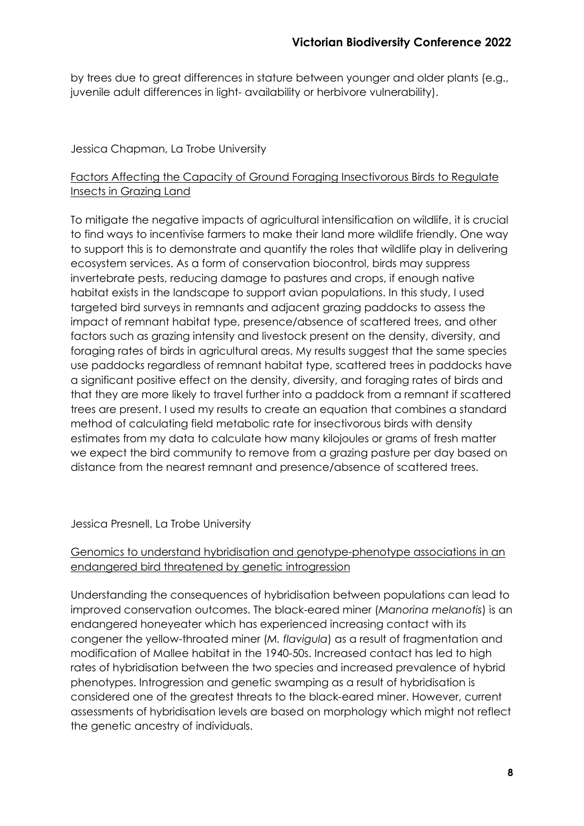by trees due to great differences in stature between younger and older plants (e.g., juvenile adult differences in light- availability or herbivore vulnerability).

# Jessica Chapman, La Trobe University

# Factors Affecting the Capacity of Ground Foraging Insectivorous Birds to Regulate Insects in Grazing Land

To mitigate the negative impacts of agricultural intensification on wildlife, it is crucial to find ways to incentivise farmers to make their land more wildlife friendly. One way to support this is to demonstrate and quantify the roles that wildlife play in delivering ecosystem services. As a form of conservation biocontrol, birds may suppress invertebrate pests, reducing damage to pastures and crops, if enough native habitat exists in the landscape to support avian populations. In this study, I used targeted bird surveys in remnants and adjacent grazing paddocks to assess the impact of remnant habitat type, presence/absence of scattered trees, and other factors such as grazing intensity and livestock present on the density, diversity, and foraging rates of birds in agricultural areas. My results suggest that the same species use paddocks regardless of remnant habitat type, scattered trees in paddocks have a significant positive effect on the density, diversity, and foraging rates of birds and that they are more likely to travel further into a paddock from a remnant if scattered trees are present. I used my results to create an equation that combines a standard method of calculating field metabolic rate for insectivorous birds with density estimates from my data to calculate how many kilojoules or grams of fresh matter we expect the bird community to remove from a grazing pasture per day based on distance from the nearest remnant and presence/absence of scattered trees.

#### Jessica Presnell, La Trobe University

# Genomics to understand hybridisation and genotype-phenotype associations in an endangered bird threatened by genetic introgression

Understanding the consequences of hybridisation between populations can lead to improved conservation outcomes. The black-eared miner (*Manorina melanotis*) is an endangered honeyeater which has experienced increasing contact with its congener the yellow-throated miner (*M. flavigula*) as a result of fragmentation and modification of Mallee habitat in the 1940-50s. Increased contact has led to high rates of hybridisation between the two species and increased prevalence of hybrid phenotypes. Introgression and genetic swamping as a result of hybridisation is considered one of the greatest threats to the black-eared miner. However, current assessments of hybridisation levels are based on morphology which might not reflect the genetic ancestry of individuals.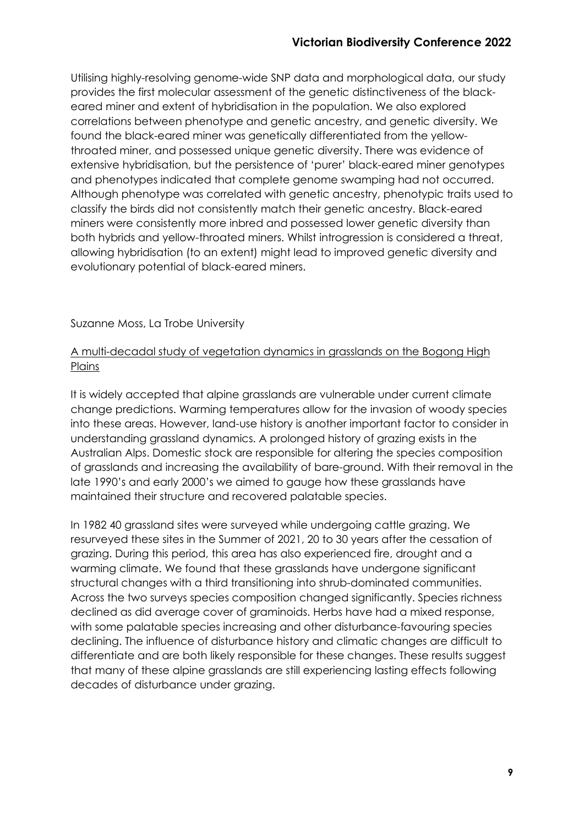Utilising highly-resolving genome-wide SNP data and morphological data, our study provides the first molecular assessment of the genetic distinctiveness of the blackeared miner and extent of hybridisation in the population. We also explored correlations between phenotype and genetic ancestry, and genetic diversity. We found the black-eared miner was genetically differentiated from the yellowthroated miner, and possessed unique genetic diversity. There was evidence of extensive hybridisation, but the persistence of 'purer' black-eared miner genotypes and phenotypes indicated that complete genome swamping had not occurred. Although phenotype was correlated with genetic ancestry, phenotypic traits used to classify the birds did not consistently match their genetic ancestry. Black-eared miners were consistently more inbred and possessed lower genetic diversity than both hybrids and yellow-throated miners. Whilst introgression is considered a threat, allowing hybridisation (to an extent) might lead to improved genetic diversity and evolutionary potential of black-eared miners.

Suzanne Moss, La Trobe University

# A multi-decadal study of vegetation dynamics in grasslands on the Bogong High **Plains**

It is widely accepted that alpine grasslands are vulnerable under current climate change predictions. Warming temperatures allow for the invasion of woody species into these areas. However, land-use history is another important factor to consider in understanding grassland dynamics. A prolonged history of grazing exists in the Australian Alps. Domestic stock are responsible for altering the species composition of grasslands and increasing the availability of bare-ground. With their removal in the late 1990's and early 2000's we aimed to gauge how these grasslands have maintained their structure and recovered palatable species.

In 1982 40 grassland sites were surveyed while undergoing cattle grazing. We resurveyed these sites in the Summer of 2021, 20 to 30 years after the cessation of grazing. During this period, this area has also experienced fire, drought and a warming climate. We found that these grasslands have undergone significant structural changes with a third transitioning into shrub-dominated communities. Across the two surveys species composition changed significantly. Species richness declined as did average cover of graminoids. Herbs have had a mixed response, with some palatable species increasing and other disturbance-favouring species declining. The influence of disturbance history and climatic changes are difficult to differentiate and are both likely responsible for these changes. These results suggest that many of these alpine grasslands are still experiencing lasting effects following decades of disturbance under grazing.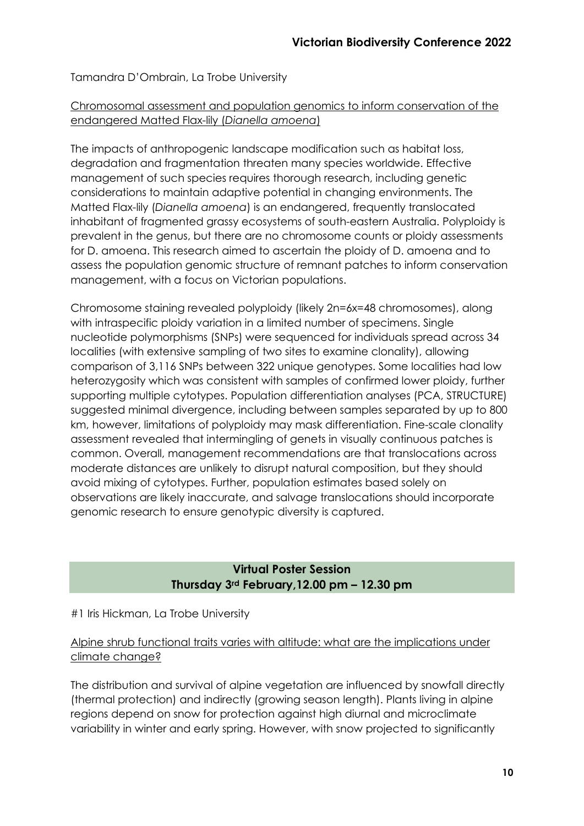# Tamandra D'Ombrain, La Trobe University

#### Chromosomal assessment and population genomics to inform conservation of the endangered Matted Flax-lily (*Dianella amoena*)

The impacts of anthropogenic landscape modification such as habitat loss, degradation and fragmentation threaten many species worldwide. Effective management of such species requires thorough research, including genetic considerations to maintain adaptive potential in changing environments. The Matted Flax-lily (*Dianella amoena*) is an endangered, frequently translocated inhabitant of fragmented grassy ecosystems of south-eastern Australia. Polyploidy is prevalent in the genus, but there are no chromosome counts or ploidy assessments for D. amoena. This research aimed to ascertain the ploidy of D. amoena and to assess the population genomic structure of remnant patches to inform conservation management, with a focus on Victorian populations.

Chromosome staining revealed polyploidy (likely 2n=6x=48 chromosomes), along with intraspecific ploidy variation in a limited number of specimens. Single nucleotide polymorphisms (SNPs) were sequenced for individuals spread across 34 localities (with extensive sampling of two sites to examine clonality), allowing comparison of 3,116 SNPs between 322 unique genotypes. Some localities had low heterozygosity which was consistent with samples of confirmed lower ploidy, further supporting multiple cytotypes. Population differentiation analyses (PCA, STRUCTURE) suggested minimal divergence, including between samples separated by up to 800 km, however, limitations of polyploidy may mask differentiation. Fine-scale clonality assessment revealed that intermingling of genets in visually continuous patches is common. Overall, management recommendations are that translocations across moderate distances are unlikely to disrupt natural composition, but they should avoid mixing of cytotypes. Further, population estimates based solely on observations are likely inaccurate, and salvage translocations should incorporate genomic research to ensure genotypic diversity is captured.

# **Virtual Poster Session Thursday 3rd February,12.00 pm – 12.30 pm**

#1 Iris Hickman, La Trobe University

# Alpine shrub functional traits varies with altitude: what are the implications under climate change?

The distribution and survival of alpine vegetation are influenced by snowfall directly (thermal protection) and indirectly (growing season length). Plants living in alpine regions depend on snow for protection against high diurnal and microclimate variability in winter and early spring. However, with snow projected to significantly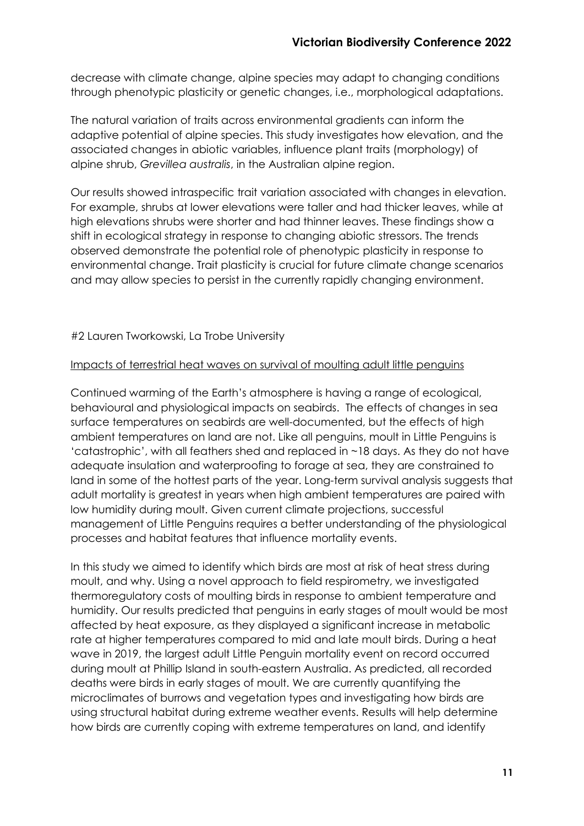decrease with climate change, alpine species may adapt to changing conditions through phenotypic plasticity or genetic changes, i.e., morphological adaptations.

The natural variation of traits across environmental gradients can inform the adaptive potential of alpine species. This study investigates how elevation, and the associated changes in abiotic variables, influence plant traits (morphology) of alpine shrub, *Grevillea australis*, in the Australian alpine region.

Our results showed intraspecific trait variation associated with changes in elevation. For example, shrubs at lower elevations were taller and had thicker leaves, while at high elevations shrubs were shorter and had thinner leaves. These findings show a shift in ecological strategy in response to changing abiotic stressors. The trends observed demonstrate the potential role of phenotypic plasticity in response to environmental change. Trait plasticity is crucial for future climate change scenarios and may allow species to persist in the currently rapidly changing environment.

#2 Lauren Tworkowski, La Trobe University

#### Impacts of terrestrial heat waves on survival of moulting adult little penguins

Continued warming of the Earth's atmosphere is having a range of ecological, behavioural and physiological impacts on seabirds. The effects of changes in sea surface temperatures on seabirds are well-documented, but the effects of high ambient temperatures on land are not. Like all penguins, moult in Little Penguins is 'catastrophic', with all feathers shed and replaced in ~18 days. As they do not have adequate insulation and waterproofing to forage at sea, they are constrained to land in some of the hottest parts of the year. Long-term survival analysis suggests that adult mortality is greatest in years when high ambient temperatures are paired with low humidity during moult. Given current climate projections, successful management of Little Penguins requires a better understanding of the physiological processes and habitat features that influence mortality events.

In this study we aimed to identify which birds are most at risk of heat stress during moult, and why. Using a novel approach to field respirometry, we investigated thermoregulatory costs of moulting birds in response to ambient temperature and humidity. Our results predicted that penguins in early stages of moult would be most affected by heat exposure, as they displayed a significant increase in metabolic rate at higher temperatures compared to mid and late moult birds. During a heat wave in 2019, the largest adult Little Penguin mortality event on record occurred during moult at Phillip Island in south-eastern Australia. As predicted, all recorded deaths were birds in early stages of moult. We are currently quantifying the microclimates of burrows and vegetation types and investigating how birds are using structural habitat during extreme weather events. Results will help determine how birds are currently coping with extreme temperatures on land, and identify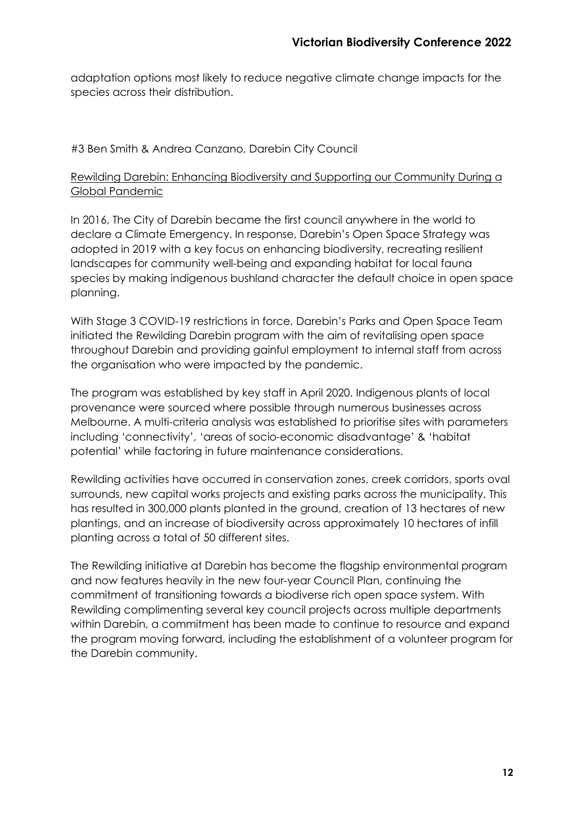adaptation options most likely to reduce negative climate change impacts for the species across their distribution.

# #3 Ben Smith & Andrea Canzano, Darebin City Council

# Rewilding Darebin: Enhancing Biodiversity and Supporting our Community During a Global Pandemic

In 2016, The City of Darebin became the first council anywhere in the world to declare a Climate Emergency. In response, Darebin's Open Space Strategy was adopted in 2019 with a key focus on enhancing biodiversity, recreating resilient landscapes for community well-being and expanding habitat for local fauna species by making indigenous bushland character the default choice in open space planning.

With Stage 3 COVID-19 restrictions in force, Darebin's Parks and Open Space Team initiated the Rewilding Darebin program with the aim of revitalising open space throughout Darebin and providing gainful employment to internal staff from across the organisation who were impacted by the pandemic.

The program was established by key staff in April 2020. Indigenous plants of local provenance were sourced where possible through numerous businesses across Melbourne. A multi-criteria analysis was established to prioritise sites with parameters including 'connectivity', 'areas of socio-economic disadvantage' & 'habitat potential' while factoring in future maintenance considerations.

Rewilding activities have occurred in conservation zones, creek corridors, sports oval surrounds, new capital works projects and existing parks across the municipality. This has resulted in 300,000 plants planted in the ground, creation of 13 hectares of new plantings, and an increase of biodiversity across approximately 10 hectares of infill planting across a total of 50 different sites.

The Rewilding initiative at Darebin has become the flagship environmental program and now features heavily in the new four-year Council Plan, continuing the commitment of transitioning towards a biodiverse rich open space system. With Rewilding complimenting several key council projects across multiple departments within Darebin, a commitment has been made to continue to resource and expand the program moving forward, including the establishment of a volunteer program for the Darebin community.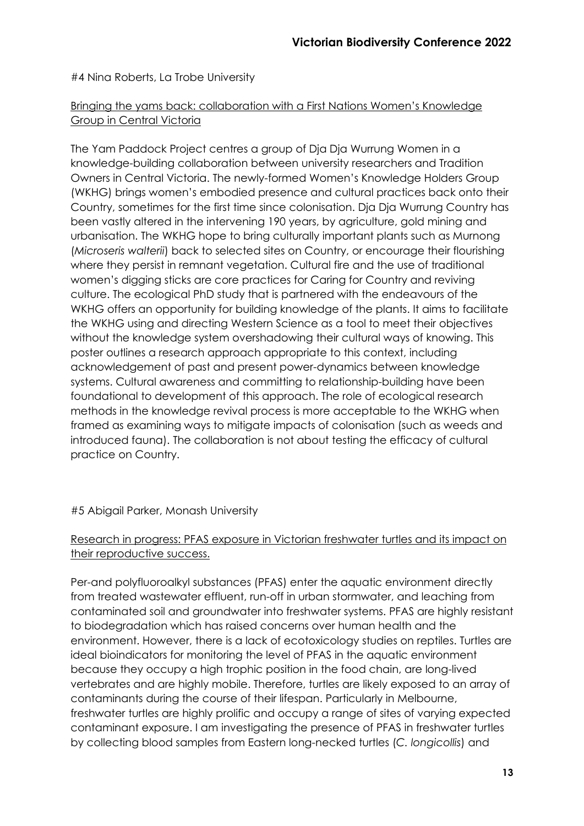#4 Nina Roberts, La Trobe University

# Bringing the yams back: collaboration with a First Nations Women's Knowledge Group in Central Victoria

The Yam Paddock Project centres a group of Dja Dja Wurrung Women in a knowledge-building collaboration between university researchers and Tradition Owners in Central Victoria. The newly-formed Women's Knowledge Holders Group (WKHG) brings women's embodied presence and cultural practices back onto their Country, sometimes for the first time since colonisation. Dja Dja Wurrung Country has been vastly altered in the intervening 190 years, by agriculture, gold mining and urbanisation. The WKHG hope to bring culturally important plants such as Murnong (*Microseris walterii*) back to selected sites on Country, or encourage their flourishing where they persist in remnant vegetation. Cultural fire and the use of traditional women's digging sticks are core practices for Caring for Country and reviving culture. The ecological PhD study that is partnered with the endeavours of the WKHG offers an opportunity for building knowledge of the plants. It aims to facilitate the WKHG using and directing Western Science as a tool to meet their objectives without the knowledge system overshadowing their cultural ways of knowing. This poster outlines a research approach appropriate to this context, including acknowledgement of past and present power-dynamics between knowledge systems. Cultural awareness and committing to relationship-building have been foundational to development of this approach. The role of ecological research methods in the knowledge revival process is more acceptable to the WKHG when framed as examining ways to mitigate impacts of colonisation (such as weeds and introduced fauna). The collaboration is not about testing the efficacy of cultural practice on Country.

# #5 Abigail Parker, Monash University

# Research in progress: PFAS exposure in Victorian freshwater turtles and its impact on their reproductive success.

Per-and polyfluoroalkyl substances (PFAS) enter the aquatic environment directly from treated wastewater effluent, run-off in urban stormwater, and leaching from contaminated soil and groundwater into freshwater systems. PFAS are highly resistant to biodegradation which has raised concerns over human health and the environment. However, there is a lack of ecotoxicology studies on reptiles. Turtles are ideal bioindicators for monitoring the level of PFAS in the aquatic environment because they occupy a high trophic position in the food chain, are long-lived vertebrates and are highly mobile. Therefore, turtles are likely exposed to an array of contaminants during the course of their lifespan. Particularly in Melbourne, freshwater turtles are highly prolific and occupy a range of sites of varying expected contaminant exposure. I am investigating the presence of PFAS in freshwater turtles by collecting blood samples from Eastern long-necked turtles (*C. longicollis*) and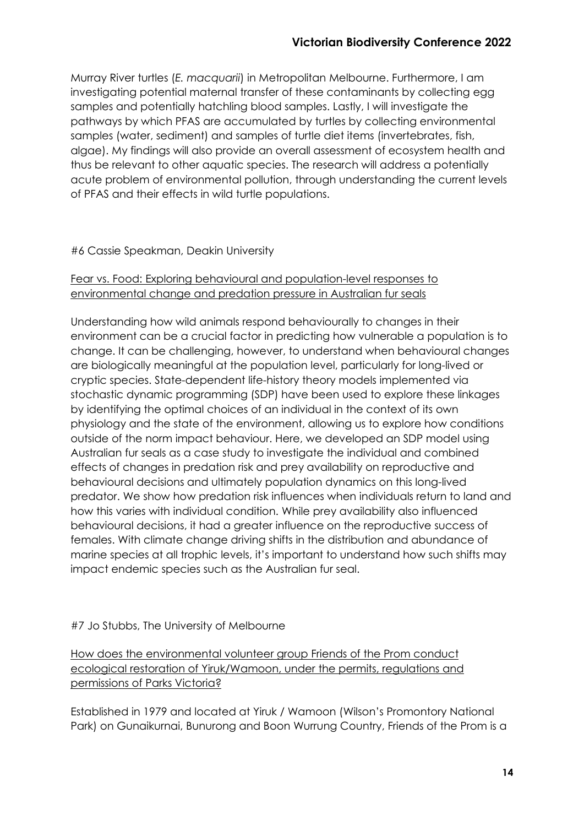Murray River turtles (*E. macquarii*) in Metropolitan Melbourne. Furthermore, I am investigating potential maternal transfer of these contaminants by collecting egg samples and potentially hatchling blood samples. Lastly, I will investigate the pathways by which PFAS are accumulated by turtles by collecting environmental samples (water, sediment) and samples of turtle diet items (invertebrates, fish, algae). My findings will also provide an overall assessment of ecosystem health and thus be relevant to other aquatic species. The research will address a potentially acute problem of environmental pollution, through understanding the current levels of PFAS and their effects in wild turtle populations.

# #6 Cassie Speakman, Deakin University

#### Fear vs. Food: Exploring behavioural and population-level responses to environmental change and predation pressure in Australian fur seals

Understanding how wild animals respond behaviourally to changes in their environment can be a crucial factor in predicting how vulnerable a population is to change. It can be challenging, however, to understand when behavioural changes are biologically meaningful at the population level, particularly for long-lived or cryptic species. State-dependent life-history theory models implemented via stochastic dynamic programming (SDP) have been used to explore these linkages by identifying the optimal choices of an individual in the context of its own physiology and the state of the environment, allowing us to explore how conditions outside of the norm impact behaviour. Here, we developed an SDP model using Australian fur seals as a case study to investigate the individual and combined effects of changes in predation risk and prey availability on reproductive and behavioural decisions and ultimately population dynamics on this long-lived predator. We show how predation risk influences when individuals return to land and how this varies with individual condition. While prey availability also influenced behavioural decisions, it had a greater influence on the reproductive success of females. With climate change driving shifts in the distribution and abundance of marine species at all trophic levels, it's important to understand how such shifts may impact endemic species such as the Australian fur seal.

#### #7 Jo Stubbs, The University of Melbourne

How does the environmental volunteer group Friends of the Prom conduct ecological restoration of Yiruk/Wamoon, under the permits, regulations and permissions of Parks Victoria?

Established in 1979 and located at Yiruk / Wamoon (Wilson's Promontory National Park) on Gunaikurnai, Bunurong and Boon Wurrung Country, Friends of the Prom is a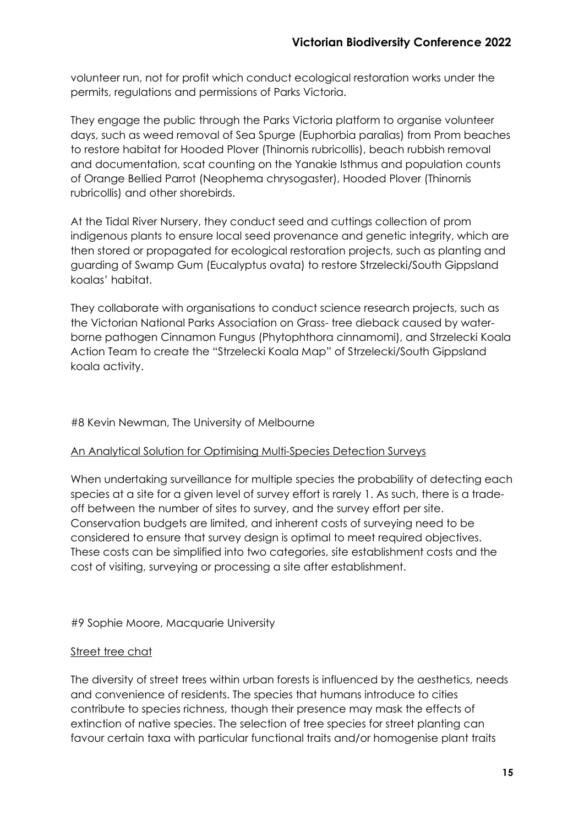volunteer run, not for profit which conduct ecological restoration works under the permits, regulations and permissions of Parks Victoria.

They engage the public through the Parks Victoria platform to organise volunteer days, such as weed removal of Sea Spurge (Euphorbia paralias) from Prom beaches to restore habitat for Hooded Plover (Thinornis rubricollis), beach rubbish removal and documentation, scat counting on the Yanakie Isthmus and population counts of Orange Bellied Parrot (Neophema chrysogaster), Hooded Plover (Thinornis rubricollis) and other shorebirds.

At the Tidal River Nursery, they conduct seed and cuttings collection of prom indigenous plants to ensure local seed provenance and genetic integrity, which are then stored or propagated for ecological restoration projects, such as planting and guarding of Swamp Gum (Eucalyptus ovata) to restore Strzelecki/South Gippsland koalas' habitat.

They collaborate with organisations to conduct science research projects, such as the Victorian National Parks Association on Grass- tree dieback caused by waterborne pathogen Cinnamon Fungus (Phytophthora cinnamomi), and Strzelecki Koala Action Team to create the "Strzelecki Koala Map" of Strzelecki/South Gippsland koala activity.

#### #8 Kevin Newman, The University of Melbourne

#### An Analytical Solution for Optimising Multi-Species Detection Surveys

When undertaking surveillance for multiple species the probability of detecting each species at a site for a given level of survey effort is rarely 1. As such, there is a tradeoff between the number of sites to survey, and the survey effort per site. Conservation budgets are limited, and inherent costs of surveying need to be considered to ensure that survey design is optimal to meet required objectives. These costs can be simplified into two categories, site establishment costs and the cost of visiting, surveying or processing a site after establishment.

#9 Sophie Moore, Macquarie University

#### Street tree chat

The diversity of street trees within urban forests is influenced by the aesthetics, needs and convenience of residents. The species that humans introduce to cities contribute to species richness, though their presence may mask the effects of extinction of native species. The selection of tree species for street planting can favour certain taxa with particular functional traits and/or homogenise plant traits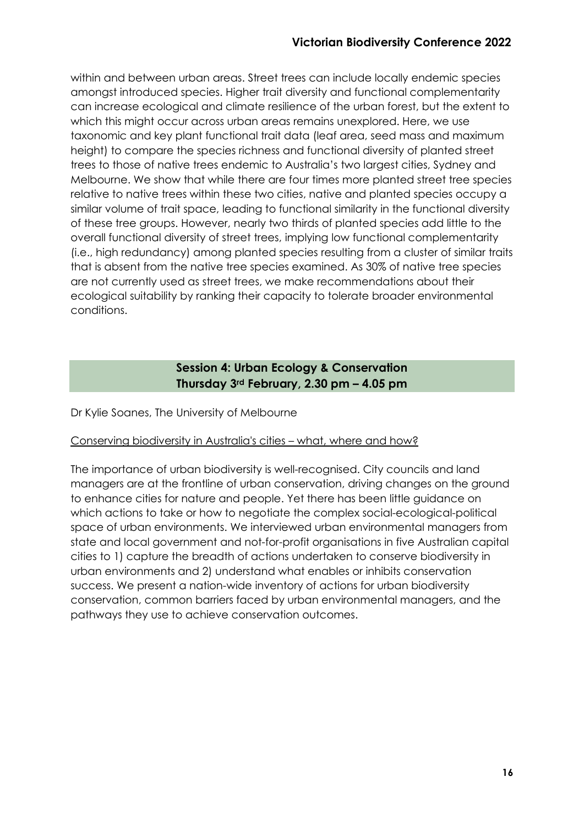within and between urban areas. Street trees can include locally endemic species amongst introduced species. Higher trait diversity and functional complementarity can increase ecological and climate resilience of the urban forest, but the extent to which this might occur across urban areas remains unexplored. Here, we use taxonomic and key plant functional trait data (leaf area, seed mass and maximum height) to compare the species richness and functional diversity of planted street trees to those of native trees endemic to Australia's two largest cities, Sydney and Melbourne. We show that while there are four times more planted street tree species relative to native trees within these two cities, native and planted species occupy a similar volume of trait space, leading to functional similarity in the functional diversity of these tree groups. However, nearly two thirds of planted species add little to the overall functional diversity of street trees, implying low functional complementarity (i.e., high redundancy) among planted species resulting from a cluster of similar traits that is absent from the native tree species examined. As 30% of native tree species are not currently used as street trees, we make recommendations about their ecological suitability by ranking their capacity to tolerate broader environmental conditions.

# **Session 4: Urban Ecology & Conservation Thursday 3rd February, 2.30 pm – 4.05 pm**

Dr Kylie Soanes, The University of Melbourne

#### Conserving biodiversity in Australia's cities – what, where and how?

The importance of urban biodiversity is well-recognised. City councils and land managers are at the frontline of urban conservation, driving changes on the ground to enhance cities for nature and people. Yet there has been little guidance on which actions to take or how to negotiate the complex social-ecological-political space of urban environments. We interviewed urban environmental managers from state and local government and not-for-profit organisations in five Australian capital cities to 1) capture the breadth of actions undertaken to conserve biodiversity in urban environments and 2) understand what enables or inhibits conservation success. We present a nation-wide inventory of actions for urban biodiversity conservation, common barriers faced by urban environmental managers, and the pathways they use to achieve conservation outcomes.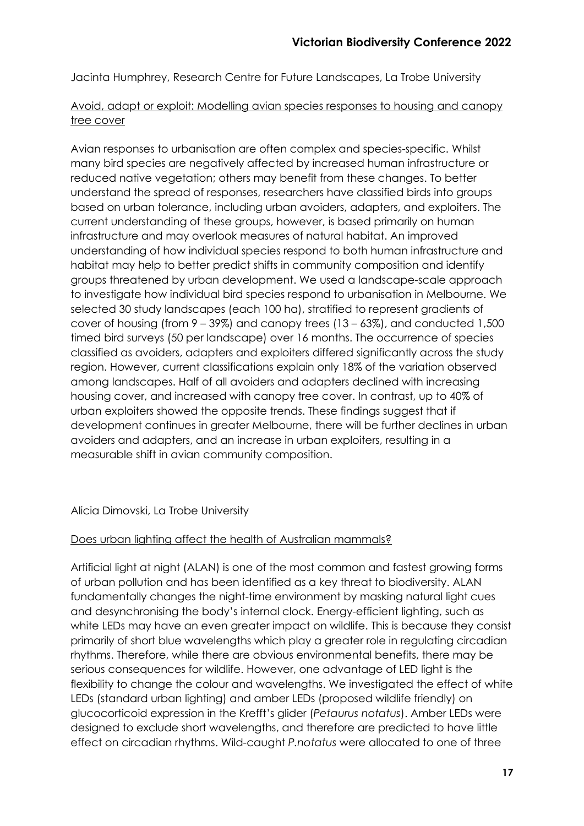Jacinta Humphrey, Research Centre for Future Landscapes, La Trobe University

# Avoid, adapt or exploit: Modelling avian species responses to housing and canopy tree cover

Avian responses to urbanisation are often complex and species-specific. Whilst many bird species are negatively affected by increased human infrastructure or reduced native vegetation; others may benefit from these changes. To better understand the spread of responses, researchers have classified birds into groups based on urban tolerance, including urban avoiders, adapters, and exploiters. The current understanding of these groups, however, is based primarily on human infrastructure and may overlook measures of natural habitat. An improved understanding of how individual species respond to both human infrastructure and habitat may help to better predict shifts in community composition and identify groups threatened by urban development. We used a landscape-scale approach to investigate how individual bird species respond to urbanisation in Melbourne. We selected 30 study landscapes (each 100 ha), stratified to represent gradients of cover of housing (from 9 – 39%) and canopy trees (13 – 63%), and conducted 1,500 timed bird surveys (50 per landscape) over 16 months. The occurrence of species classified as avoiders, adapters and exploiters differed significantly across the study region. However, current classifications explain only 18% of the variation observed among landscapes. Half of all avoiders and adapters declined with increasing housing cover, and increased with canopy tree cover. In contrast, up to 40% of urban exploiters showed the opposite trends. These findings suggest that if development continues in greater Melbourne, there will be further declines in urban avoiders and adapters, and an increase in urban exploiters, resulting in a measurable shift in avian community composition.

# Alicia Dimovski, La Trobe University

#### Does urban lighting affect the health of Australian mammals?

Artificial light at night (ALAN) is one of the most common and fastest growing forms of urban pollution and has been identified as a key threat to biodiversity. ALAN fundamentally changes the night-time environment by masking natural light cues and desynchronising the body's internal clock. Energy-efficient lighting, such as white LEDs may have an even greater impact on wildlife. This is because they consist primarily of short blue wavelengths which play a greater role in regulating circadian rhythms. Therefore, while there are obvious environmental benefits, there may be serious consequences for wildlife. However, one advantage of LED light is the flexibility to change the colour and wavelengths. We investigated the effect of white LEDs (standard urban lighting) and amber LEDs (proposed wildlife friendly) on glucocorticoid expression in the Krefft's glider (*Petaurus notatus*). Amber LEDs were designed to exclude short wavelengths, and therefore are predicted to have little effect on circadian rhythms. Wild-caught *P.notatus* were allocated to one of three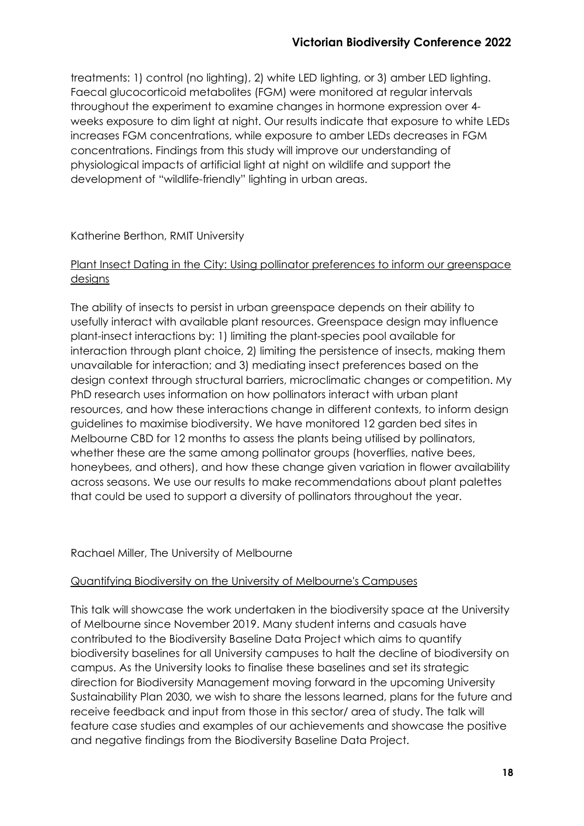treatments: 1) control (no lighting), 2) white LED lighting, or 3) amber LED lighting. Faecal glucocorticoid metabolites (FGM) were monitored at regular intervals throughout the experiment to examine changes in hormone expression over 4 weeks exposure to dim light at night. Our results indicate that exposure to white LEDs increases FGM concentrations, while exposure to amber LEDs decreases in FGM concentrations. Findings from this study will improve our understanding of physiological impacts of artificial light at night on wildlife and support the development of "wildlife-friendly" lighting in urban areas.

# Katherine Berthon, RMIT University

# Plant Insect Dating in the City: Using pollinator preferences to inform our greenspace designs

The ability of insects to persist in urban greenspace depends on their ability to usefully interact with available plant resources. Greenspace design may influence plant-insect interactions by: 1) limiting the plant-species pool available for interaction through plant choice, 2) limiting the persistence of insects, making them unavailable for interaction; and 3) mediating insect preferences based on the design context through structural barriers, microclimatic changes or competition. My PhD research uses information on how pollinators interact with urban plant resources, and how these interactions change in different contexts, to inform design guidelines to maximise biodiversity. We have monitored 12 garden bed sites in Melbourne CBD for 12 months to assess the plants being utilised by pollinators, whether these are the same among pollinator groups (hoverflies, native bees, honeybees, and others), and how these change given variation in flower availability across seasons. We use our results to make recommendations about plant palettes that could be used to support a diversity of pollinators throughout the year.

#### Rachael Miller, The University of Melbourne

#### Quantifying Biodiversity on the University of Melbourne's Campuses

This talk will showcase the work undertaken in the biodiversity space at the University of Melbourne since November 2019. Many student interns and casuals have contributed to the Biodiversity Baseline Data Project which aims to quantify biodiversity baselines for all University campuses to halt the decline of biodiversity on campus. As the University looks to finalise these baselines and set its strategic direction for Biodiversity Management moving forward in the upcoming University Sustainability Plan 2030, we wish to share the lessons learned, plans for the future and receive feedback and input from those in this sector/ area of study. The talk will feature case studies and examples of our achievements and showcase the positive and negative findings from the Biodiversity Baseline Data Project.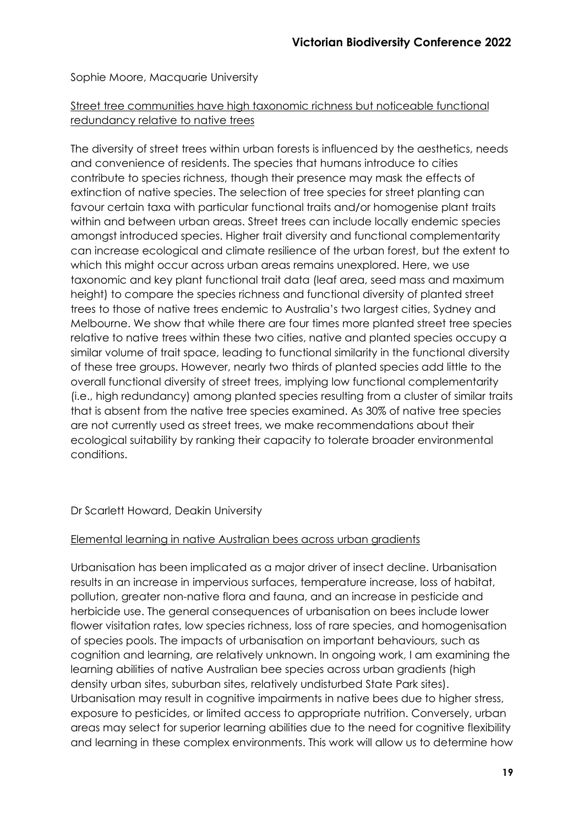Sophie Moore, Macquarie University

# Street tree communities have high taxonomic richness but noticeable functional redundancy relative to native trees

The diversity of street trees within urban forests is influenced by the aesthetics, needs and convenience of residents. The species that humans introduce to cities contribute to species richness, though their presence may mask the effects of extinction of native species. The selection of tree species for street planting can favour certain taxa with particular functional traits and/or homogenise plant traits within and between urban areas. Street trees can include locally endemic species amongst introduced species. Higher trait diversity and functional complementarity can increase ecological and climate resilience of the urban forest, but the extent to which this might occur across urban areas remains unexplored. Here, we use taxonomic and key plant functional trait data (leaf area, seed mass and maximum height) to compare the species richness and functional diversity of planted street trees to those of native trees endemic to Australia's two largest cities, Sydney and Melbourne. We show that while there are four times more planted street tree species relative to native trees within these two cities, native and planted species occupy a similar volume of trait space, leading to functional similarity in the functional diversity of these tree groups. However, nearly two thirds of planted species add little to the overall functional diversity of street trees, implying low functional complementarity (i.e., high redundancy) among planted species resulting from a cluster of similar traits that is absent from the native tree species examined. As 30% of native tree species are not currently used as street trees, we make recommendations about their ecological suitability by ranking their capacity to tolerate broader environmental conditions.

# Dr Scarlett Howard, Deakin University

#### Elemental learning in native Australian bees across urban gradients

Urbanisation has been implicated as a major driver of insect decline. Urbanisation results in an increase in impervious surfaces, temperature increase, loss of habitat, pollution, greater non-native flora and fauna, and an increase in pesticide and herbicide use. The general consequences of urbanisation on bees include lower flower visitation rates, low species richness, loss of rare species, and homogenisation of species pools. The impacts of urbanisation on important behaviours, such as cognition and learning, are relatively unknown. In ongoing work, I am examining the learning abilities of native Australian bee species across urban gradients (high density urban sites, suburban sites, relatively undisturbed State Park sites). Urbanisation may result in cognitive impairments in native bees due to higher stress, exposure to pesticides, or limited access to appropriate nutrition. Conversely, urban areas may select for superior learning abilities due to the need for cognitive flexibility and learning in these complex environments. This work will allow us to determine how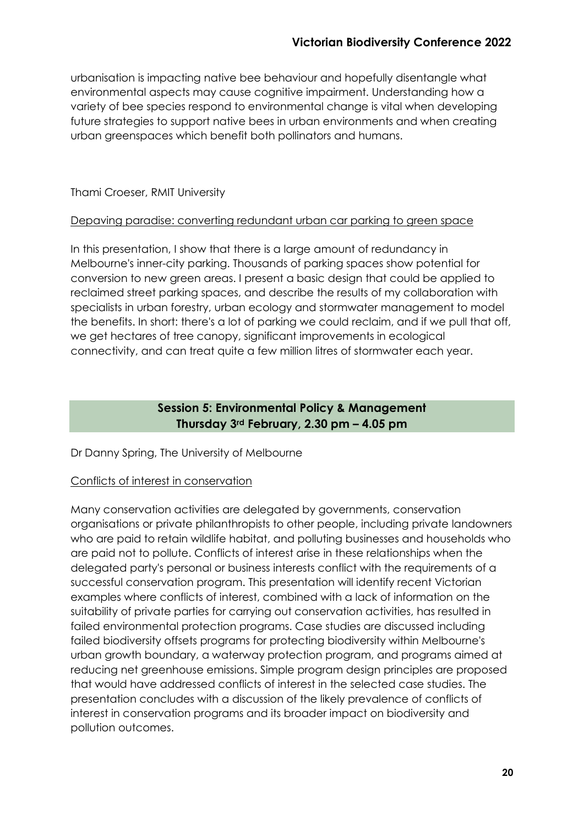urbanisation is impacting native bee behaviour and hopefully disentangle what environmental aspects may cause cognitive impairment. Understanding how a variety of bee species respond to environmental change is vital when developing future strategies to support native bees in urban environments and when creating urban greenspaces which benefit both pollinators and humans.

# Thami Croeser, RMIT University

# Depaving paradise: converting redundant urban car parking to green space

In this presentation, I show that there is a large amount of redundancy in Melbourne's inner-city parking. Thousands of parking spaces show potential for conversion to new green areas. I present a basic design that could be applied to reclaimed street parking spaces, and describe the results of my collaboration with specialists in urban forestry, urban ecology and stormwater management to model the benefits. In short: there's a lot of parking we could reclaim, and if we pull that off, we get hectares of tree canopy, significant improvements in ecological connectivity, and can treat quite a few million litres of stormwater each year.

# **Session 5: Environmental Policy & Management Thursday 3rd February, 2.30 pm – 4.05 pm**

# Dr Danny Spring, The University of Melbourne

# Conflicts of interest in conservation

Many conservation activities are delegated by governments, conservation organisations or private philanthropists to other people, including private landowners who are paid to retain wildlife habitat, and polluting businesses and households who are paid not to pollute. Conflicts of interest arise in these relationships when the delegated party's personal or business interests conflict with the requirements of a successful conservation program. This presentation will identify recent Victorian examples where conflicts of interest, combined with a lack of information on the suitability of private parties for carrying out conservation activities, has resulted in failed environmental protection programs. Case studies are discussed including failed biodiversity offsets programs for protecting biodiversity within Melbourne's urban growth boundary, a waterway protection program, and programs aimed at reducing net greenhouse emissions. Simple program design principles are proposed that would have addressed conflicts of interest in the selected case studies. The presentation concludes with a discussion of the likely prevalence of conflicts of interest in conservation programs and its broader impact on biodiversity and pollution outcomes.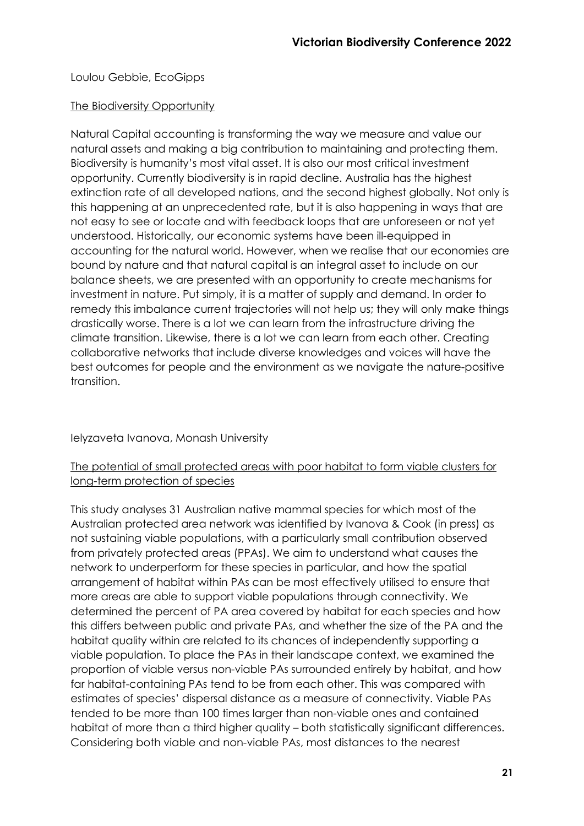# Loulou Gebbie, EcoGipps

#### The Biodiversity Opportunity

Natural Capital accounting is transforming the way we measure and value our natural assets and making a big contribution to maintaining and protecting them. Biodiversity is humanity's most vital asset. It is also our most critical investment opportunity. Currently biodiversity is in rapid decline. Australia has the highest extinction rate of all developed nations, and the second highest globally. Not only is this happening at an unprecedented rate, but it is also happening in ways that are not easy to see or locate and with feedback loops that are unforeseen or not yet understood. Historically, our economic systems have been ill-equipped in accounting for the natural world. However, when we realise that our economies are bound by nature and that natural capital is an integral asset to include on our balance sheets, we are presented with an opportunity to create mechanisms for investment in nature. Put simply, it is a matter of supply and demand. In order to remedy this imbalance current trajectories will not help us; they will only make things drastically worse. There is a lot we can learn from the infrastructure driving the climate transition. Likewise, there is a lot we can learn from each other. Creating collaborative networks that include diverse knowledges and voices will have the best outcomes for people and the environment as we navigate the nature-positive transition.

Ielyzaveta Ivanova, Monash University

# The potential of small protected areas with poor habitat to form viable clusters for long-term protection of species

This study analyses 31 Australian native mammal species for which most of the Australian protected area network was identified by Ivanova & Cook (in press) as not sustaining viable populations, with a particularly small contribution observed from privately protected areas (PPAs). We aim to understand what causes the network to underperform for these species in particular, and how the spatial arrangement of habitat within PAs can be most effectively utilised to ensure that more areas are able to support viable populations through connectivity. We determined the percent of PA area covered by habitat for each species and how this differs between public and private PAs, and whether the size of the PA and the habitat quality within are related to its chances of independently supporting a viable population. To place the PAs in their landscape context, we examined the proportion of viable versus non-viable PAs surrounded entirely by habitat, and how far habitat-containing PAs tend to be from each other. This was compared with estimates of species' dispersal distance as a measure of connectivity. Viable PAs tended to be more than 100 times larger than non-viable ones and contained habitat of more than a third higher quality – both statistically significant differences. Considering both viable and non-viable PAs, most distances to the nearest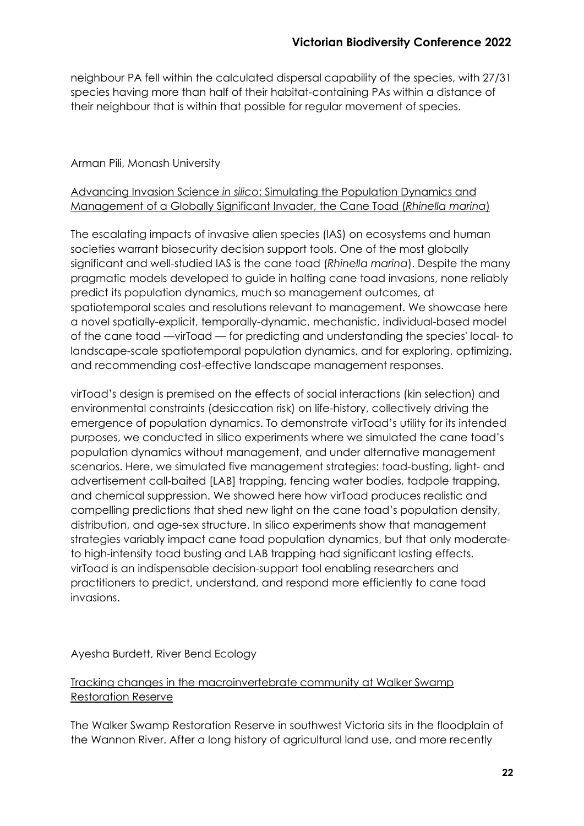neighbour PA fell within the calculated dispersal capability of the species, with 27/31 species having more than half of their habitat-containing PAs within a distance of their neighbour that is within that possible for regular movement of species.

# Arman Pili, Monash University

# Advancing Invasion Science *in silico*: Simulating the Population Dynamics and Management of a Globally Significant Invader, the Cane Toad (*Rhinella marina*)

The escalating impacts of invasive alien species (IAS) on ecosystems and human societies warrant biosecurity decision support tools. One of the most globally significant and well-studied IAS is the cane toad (*Rhinella marina*). Despite the many pragmatic models developed to guide in halting cane toad invasions, none reliably predict its population dynamics, much so management outcomes, at spatiotemporal scales and resolutions relevant to management. We showcase here a novel spatially-explicit, temporally-dynamic, mechanistic, individual-based model of the cane toad ––virToad –– for predicting and understanding the species' local- to landscape-scale spatiotemporal population dynamics, and for exploring, optimizing, and recommending cost-effective landscape management responses.

virToad's design is premised on the effects of social interactions (kin selection) and environmental constraints (desiccation risk) on life-history, collectively driving the emergence of population dynamics. To demonstrate virToad's utility for its intended purposes, we conducted in silico experiments where we simulated the cane toad's population dynamics without management, and under alternative management scenarios. Here, we simulated five management strategies: toad-busting, light- and advertisement call-baited [LAB] trapping, fencing water bodies, tadpole trapping, and chemical suppression. We showed here how virToad produces realistic and compelling predictions that shed new light on the cane toad's population density, distribution, and age-sex structure. In silico experiments show that management strategies variably impact cane toad population dynamics, but that only moderateto high-intensity toad busting and LAB trapping had significant lasting effects. virToad is an indispensable decision-support tool enabling researchers and practitioners to predict, understand, and respond more efficiently to cane toad invasions.

#### Ayesha Burdett, River Bend Ecology

# Tracking changes in the macroinvertebrate community at Walker Swamp Restoration Reserve

The Walker Swamp Restoration Reserve in southwest Victoria sits in the floodplain of the Wannon River. After a long history of agricultural land use, and more recently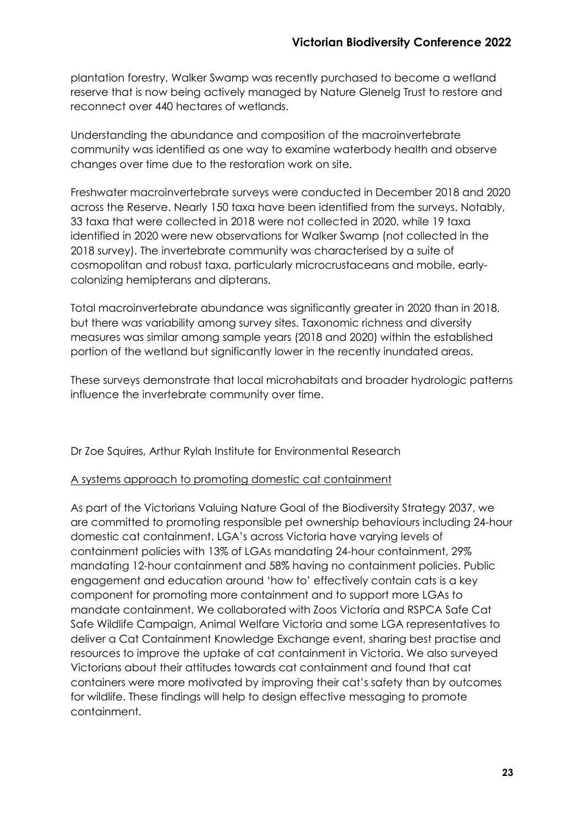plantation forestry, Walker Swamp was recently purchased to become a wetland reserve that is now being actively managed by Nature Glenelg Trust to restore and reconnect over 440 hectares of wetlands.

Understanding the abundance and composition of the macroinvertebrate community was identified as one way to examine waterbody health and observe changes over time due to the restoration work on site.

Freshwater macroinvertebrate surveys were conducted in December 2018 and 2020 across the Reserve. Nearly 150 taxa have been identified from the surveys. Notably, 33 taxa that were collected in 2018 were not collected in 2020, while 19 taxa identified in 2020 were new observations for Walker Swamp (not collected in the 2018 survey). The invertebrate community was characterised by a suite of cosmopolitan and robust taxa, particularly microcrustaceans and mobile, earlycolonizing hemipterans and dipterans.

Total macroinvertebrate abundance was significantly greater in 2020 than in 2018, but there was variability among survey sites. Taxonomic richness and diversity measures was similar among sample years (2018 and 2020) within the established portion of the wetland but significantly lower in the recently inundated areas.

These surveys demonstrate that local microhabitats and broader hydrologic patterns influence the invertebrate community over time.

Dr Zoe Squires, Arthur Rylah Institute for Environmental Research

#### A systems approach to promoting domestic cat containment

As part of the Victorians Valuing Nature Goal of the Biodiversity Strategy 2037, we are committed to promoting responsible pet ownership behaviours including 24-hour domestic cat containment. LGA's across Victoria have varying levels of containment policies with 13% of LGAs mandating 24-hour containment, 29% mandating 12-hour containment and 58% having no containment policies. Public engagement and education around 'how to' effectively contain cats is a key component for promoting more containment and to support more LGAs to mandate containment. We collaborated with Zoos Victoria and RSPCA Safe Cat Safe Wildlife Campaign, Animal Welfare Victoria and some LGA representatives to deliver a Cat Containment Knowledge Exchange event, sharing best practise and resources to improve the uptake of cat containment in Victoria. We also surveyed Victorians about their attitudes towards cat containment and found that cat containers were more motivated by improving their cat's safety than by outcomes for wildlife. These findings will help to design effective messaging to promote containment.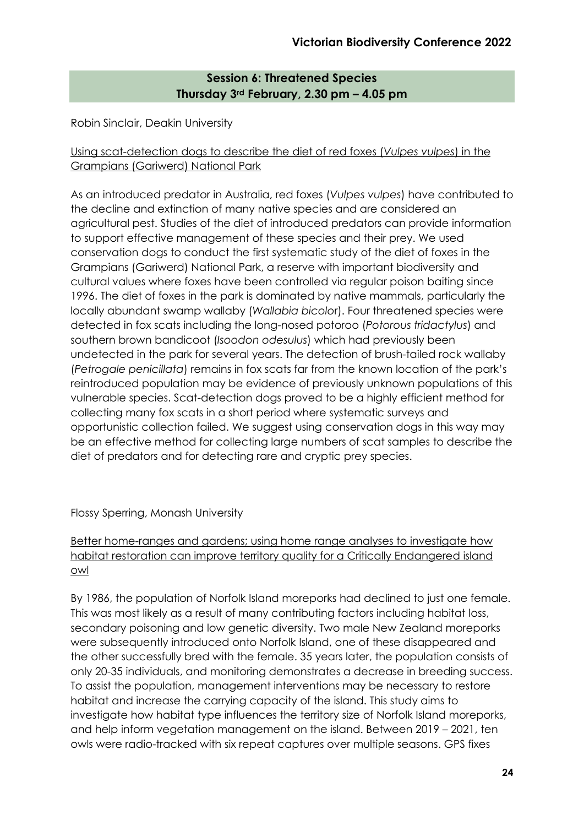# **Session 6: Threatened Species Thursday 3rd February, 2.30 pm – 4.05 pm**

Robin Sinclair, Deakin University

# Using scat-detection dogs to describe the diet of red foxes (*Vulpes vulpes*) in the Grampians (Gariwerd) National Park

As an introduced predator in Australia, red foxes (*Vulpes vulpes*) have contributed to the decline and extinction of many native species and are considered an agricultural pest. Studies of the diet of introduced predators can provide information to support effective management of these species and their prey. We used conservation dogs to conduct the first systematic study of the diet of foxes in the Grampians (Gariwerd) National Park, a reserve with important biodiversity and cultural values where foxes have been controlled via regular poison baiting since 1996. The diet of foxes in the park is dominated by native mammals, particularly the locally abundant swamp wallaby (*Wallabia bicolo*r). Four threatened species were detected in fox scats including the long-nosed potoroo (*Potorous tridactylus*) and southern brown bandicoot (*Isoodon odesulus*) which had previously been undetected in the park for several years. The detection of brush-tailed rock wallaby (*Petrogale penicillata*) remains in fox scats far from the known location of the park's reintroduced population may be evidence of previously unknown populations of this vulnerable species. Scat-detection dogs proved to be a highly efficient method for collecting many fox scats in a short period where systematic surveys and opportunistic collection failed. We suggest using conservation dogs in this way may be an effective method for collecting large numbers of scat samples to describe the diet of predators and for detecting rare and cryptic prey species.

# Flossy Sperring, Monash University

# Better home-ranges and gardens; using home range analyses to investigate how habitat restoration can improve territory quality for a Critically Endangered island owl

By 1986, the population of Norfolk Island moreporks had declined to just one female. This was most likely as a result of many contributing factors including habitat loss, secondary poisoning and low genetic diversity. Two male New Zealand moreporks were subsequently introduced onto Norfolk Island, one of these disappeared and the other successfully bred with the female. 35 years later, the population consists of only 20-35 individuals, and monitoring demonstrates a decrease in breeding success. To assist the population, management interventions may be necessary to restore habitat and increase the carrying capacity of the island. This study aims to investigate how habitat type influences the territory size of Norfolk Island moreporks, and help inform vegetation management on the island. Between 2019 – 2021, ten owls were radio-tracked with six repeat captures over multiple seasons. GPS fixes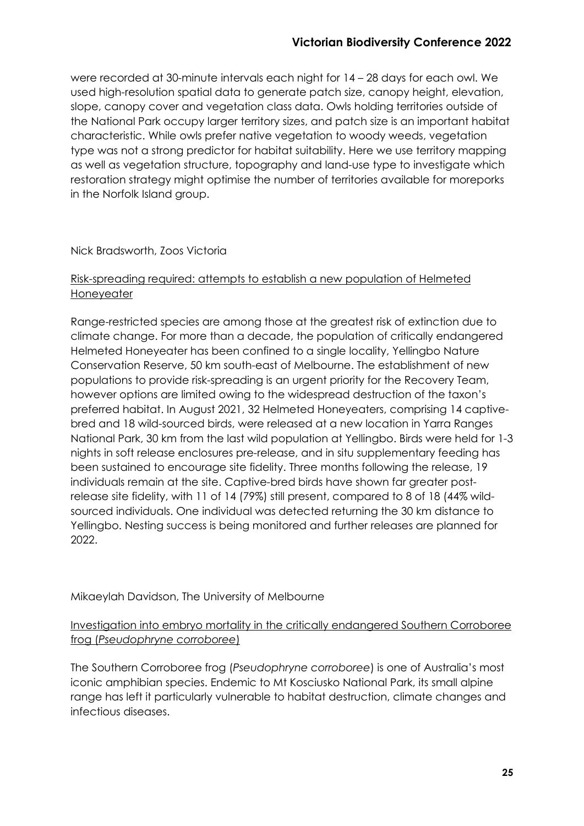were recorded at 30-minute intervals each night for 14 – 28 days for each owl. We used high-resolution spatial data to generate patch size, canopy height, elevation, slope, canopy cover and vegetation class data. Owls holding territories outside of the National Park occupy larger territory sizes, and patch size is an important habitat characteristic. While owls prefer native vegetation to woody weeds, vegetation type was not a strong predictor for habitat suitability. Here we use territory mapping as well as vegetation structure, topography and land-use type to investigate which restoration strategy might optimise the number of territories available for moreporks in the Norfolk Island group.

#### Nick Bradsworth, Zoos Victoria

#### Risk-spreading required: attempts to establish a new population of Helmeted Honeyeater

Range-restricted species are among those at the greatest risk of extinction due to climate change. For more than a decade, the population of critically endangered Helmeted Honeyeater has been confined to a single locality, Yellingbo Nature Conservation Reserve, 50 km south-east of Melbourne. The establishment of new populations to provide risk-spreading is an urgent priority for the Recovery Team, however options are limited owing to the widespread destruction of the taxon's preferred habitat. In August 2021, 32 Helmeted Honeyeaters, comprising 14 captivebred and 18 wild-sourced birds, were released at a new location in Yarra Ranges National Park, 30 km from the last wild population at Yellingbo. Birds were held for 1-3 nights in soft release enclosures pre-release, and in situ supplementary feeding has been sustained to encourage site fidelity. Three months following the release, 19 individuals remain at the site. Captive-bred birds have shown far greater postrelease site fidelity, with 11 of 14 (79%) still present, compared to 8 of 18 (44% wildsourced individuals. One individual was detected returning the 30 km distance to Yellingbo. Nesting success is being monitored and further releases are planned for 2022.

# Mikaeylah Davidson, The University of Melbourne

# Investigation into embryo mortality in the critically endangered Southern Corroboree frog (*Pseudophryne corroboree*)

The Southern Corroboree frog (*Pseudophryne corroboree*) is one of Australia's most iconic amphibian species. Endemic to Mt Kosciusko National Park, its small alpine range has left it particularly vulnerable to habitat destruction, climate changes and infectious diseases.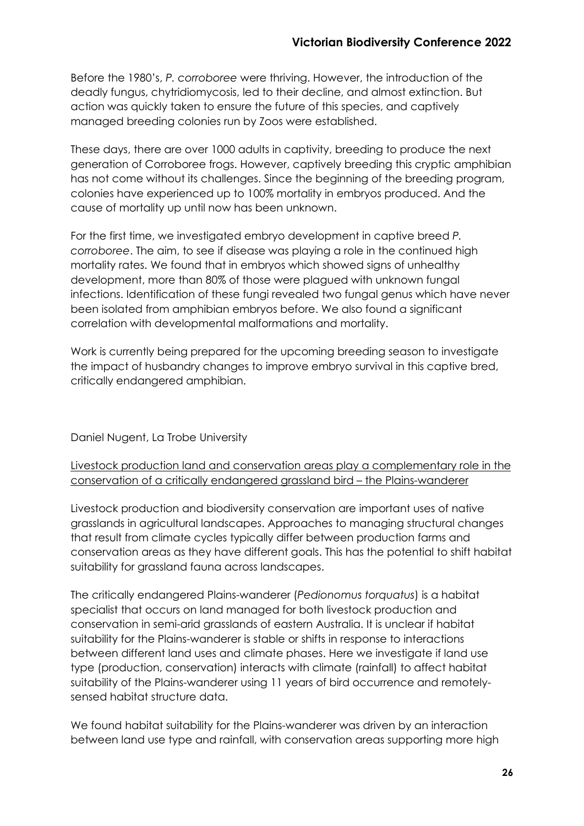Before the 1980's, *P. corroboree* were thriving. However, the introduction of the deadly fungus, chytridiomycosis, led to their decline, and almost extinction. But action was quickly taken to ensure the future of this species, and captively managed breeding colonies run by Zoos were established.

These days, there are over 1000 adults in captivity, breeding to produce the next generation of Corroboree frogs. However, captively breeding this cryptic amphibian has not come without its challenges. Since the beginning of the breeding program, colonies have experienced up to 100% mortality in embryos produced. And the cause of mortality up until now has been unknown.

For the first time, we investigated embryo development in captive breed *P. corroboree*. The aim, to see if disease was playing a role in the continued high mortality rates. We found that in embryos which showed signs of unhealthy development, more than 80% of those were plagued with unknown fungal infections. Identification of these fungi revealed two fungal genus which have never been isolated from amphibian embryos before. We also found a significant correlation with developmental malformations and mortality.

Work is currently being prepared for the upcoming breeding season to investigate the impact of husbandry changes to improve embryo survival in this captive bred, critically endangered amphibian.

Daniel Nugent, La Trobe University

Livestock production land and conservation areas play a complementary role in the conservation of a critically endangered grassland bird – the Plains-wanderer

Livestock production and biodiversity conservation are important uses of native grasslands in agricultural landscapes. Approaches to managing structural changes that result from climate cycles typically differ between production farms and conservation areas as they have different goals. This has the potential to shift habitat suitability for grassland fauna across landscapes.

The critically endangered Plains-wanderer (*Pedionomus torquatus*) is a habitat specialist that occurs on land managed for both livestock production and conservation in semi-arid grasslands of eastern Australia. It is unclear if habitat suitability for the Plains-wanderer is stable or shifts in response to interactions between different land uses and climate phases. Here we investigate if land use type (production, conservation) interacts with climate (rainfall) to affect habitat suitability of the Plains-wanderer using 11 years of bird occurrence and remotelysensed habitat structure data.

We found habitat suitability for the Plains-wanderer was driven by an interaction between land use type and rainfall, with conservation areas supporting more high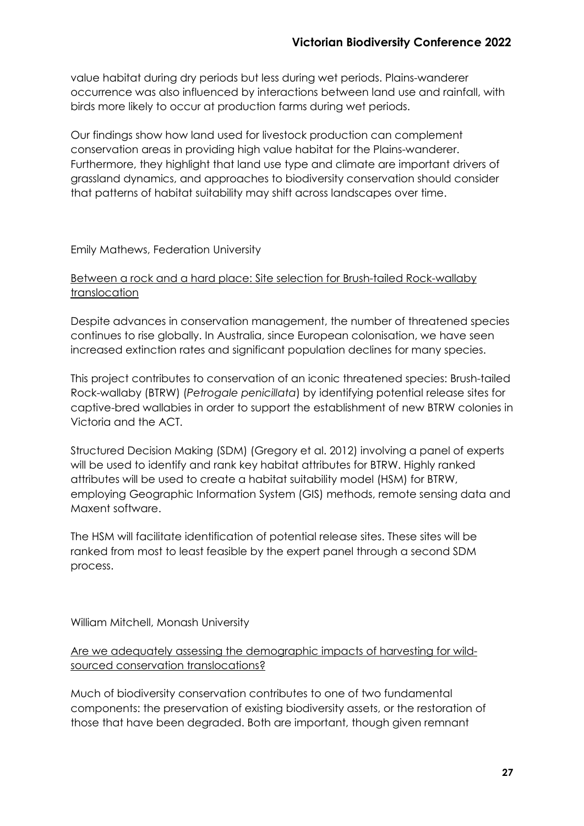value habitat during dry periods but less during wet periods. Plains-wanderer occurrence was also influenced by interactions between land use and rainfall, with birds more likely to occur at production farms during wet periods.

Our findings show how land used for livestock production can complement conservation areas in providing high value habitat for the Plains-wanderer. Furthermore, they highlight that land use type and climate are important drivers of grassland dynamics, and approaches to biodiversity conservation should consider that patterns of habitat suitability may shift across landscapes over time.

#### Emily Mathews, Federation University

#### Between a rock and a hard place: Site selection for Brush-tailed Rock-wallaby translocation

Despite advances in conservation management, the number of threatened species continues to rise globally. In Australia, since European colonisation, we have seen increased extinction rates and significant population declines for many species.

This project contributes to conservation of an iconic threatened species: Brush-tailed Rock-wallaby (BTRW) (*Petrogale penicillata*) by identifying potential release sites for captive-bred wallabies in order to support the establishment of new BTRW colonies in Victoria and the ACT.

Structured Decision Making (SDM) (Gregory et al. 2012) involving a panel of experts will be used to identify and rank key habitat attributes for BTRW. Highly ranked attributes will be used to create a habitat suitability model (HSM) for BTRW, employing Geographic Information System (GIS) methods, remote sensing data and Maxent software.

The HSM will facilitate identification of potential release sites. These sites will be ranked from most to least feasible by the expert panel through a second SDM process.

William Mitchell, Monash University

# Are we adequately assessing the demographic impacts of harvesting for wildsourced conservation translocations?

Much of biodiversity conservation contributes to one of two fundamental components: the preservation of existing biodiversity assets, or the restoration of those that have been degraded. Both are important, though given remnant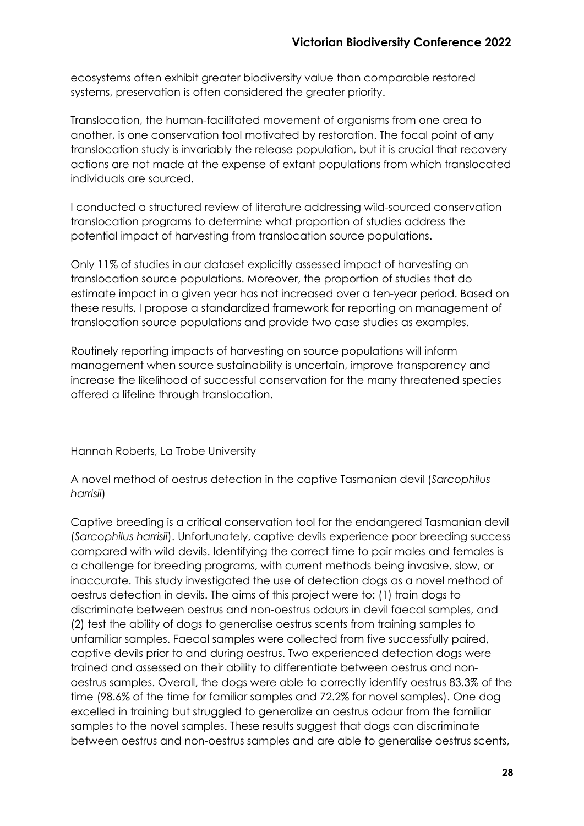ecosystems often exhibit greater biodiversity value than comparable restored systems, preservation is often considered the greater priority.

Translocation, the human-facilitated movement of organisms from one area to another, is one conservation tool motivated by restoration. The focal point of any translocation study is invariably the release population, but it is crucial that recovery actions are not made at the expense of extant populations from which translocated individuals are sourced.

I conducted a structured review of literature addressing wild-sourced conservation translocation programs to determine what proportion of studies address the potential impact of harvesting from translocation source populations.

Only 11% of studies in our dataset explicitly assessed impact of harvesting on translocation source populations. Moreover, the proportion of studies that do estimate impact in a given year has not increased over a ten-year period. Based on these results, I propose a standardized framework for reporting on management of translocation source populations and provide two case studies as examples.

Routinely reporting impacts of harvesting on source populations will inform management when source sustainability is uncertain, improve transparency and increase the likelihood of successful conservation for the many threatened species offered a lifeline through translocation.

Hannah Roberts, La Trobe University

# A novel method of oestrus detection in the captive Tasmanian devil (*Sarcophilus harrisii*)

Captive breeding is a critical conservation tool for the endangered Tasmanian devil (*Sarcophilus harrisii*). Unfortunately, captive devils experience poor breeding success compared with wild devils. Identifying the correct time to pair males and females is a challenge for breeding programs, with current methods being invasive, slow, or inaccurate. This study investigated the use of detection dogs as a novel method of oestrus detection in devils. The aims of this project were to: (1) train dogs to discriminate between oestrus and non-oestrus odours in devil faecal samples, and (2) test the ability of dogs to generalise oestrus scents from training samples to unfamiliar samples. Faecal samples were collected from five successfully paired, captive devils prior to and during oestrus. Two experienced detection dogs were trained and assessed on their ability to differentiate between oestrus and nonoestrus samples. Overall, the dogs were able to correctly identify oestrus 83.3% of the time (98.6% of the time for familiar samples and 72.2% for novel samples). One dog excelled in training but struggled to generalize an oestrus odour from the familiar samples to the novel samples. These results suggest that dogs can discriminate between oestrus and non-oestrus samples and are able to generalise oestrus scents,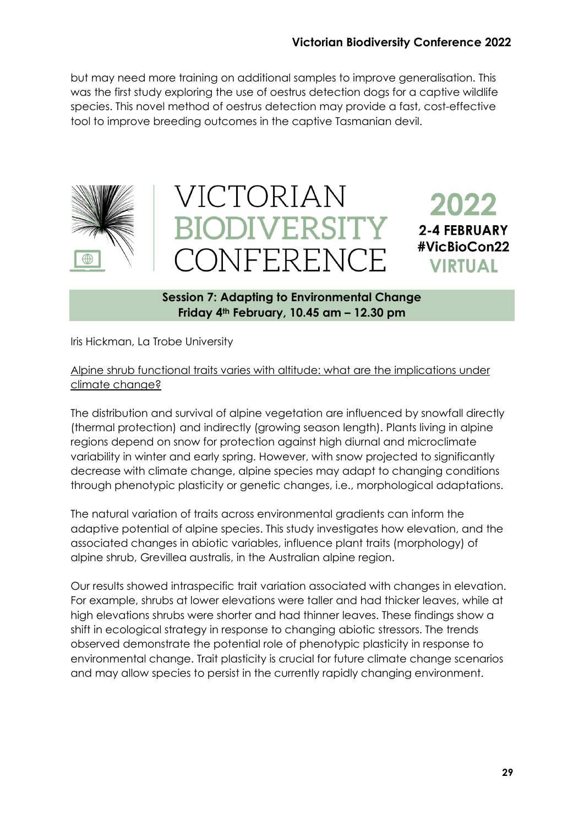but may need more training on additional samples to improve generalisation. This was the first study exploring the use of oestrus detection dogs for a captive wildlife species. This novel method of oestrus detection may provide a fast, cost-effective tool to improve breeding outcomes in the captive Tasmanian devil.







# **Session 7: Adapting to Environmental Change Friday 4th February, 10.45 am – 12.30 pm**

Iris Hickman, La Trobe University

Alpine shrub functional traits varies with altitude: what are the implications under climate change?

The distribution and survival of alpine vegetation are influenced by snowfall directly (thermal protection) and indirectly (growing season length). Plants living in alpine regions depend on snow for protection against high diurnal and microclimate variability in winter and early spring. However, with snow projected to significantly decrease with climate change, alpine species may adapt to changing conditions through phenotypic plasticity or genetic changes, i.e., morphological adaptations.

The natural variation of traits across environmental gradients can inform the adaptive potential of alpine species. This study investigates how elevation, and the associated changes in abiotic variables, influence plant traits (morphology) of alpine shrub, Grevillea australis, in the Australian alpine region.

Our results showed intraspecific trait variation associated with changes in elevation. For example, shrubs at lower elevations were taller and had thicker leaves, while at high elevations shrubs were shorter and had thinner leaves. These findings show a shift in ecological strategy in response to changing abiotic stressors. The trends observed demonstrate the potential role of phenotypic plasticity in response to environmental change. Trait plasticity is crucial for future climate change scenarios and may allow species to persist in the currently rapidly changing environment.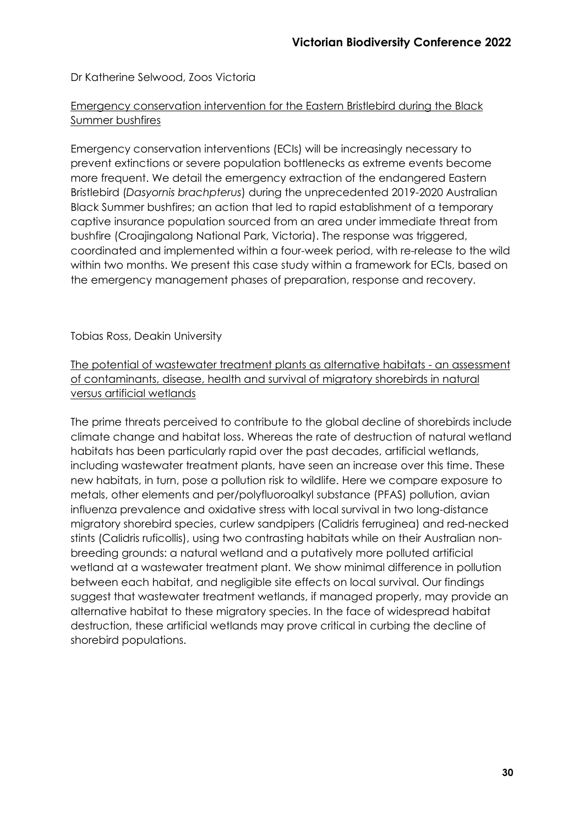Dr Katherine Selwood, Zoos Victoria

# Emergency conservation intervention for the Eastern Bristlebird during the Black Summer bushfires

Emergency conservation interventions (ECIs) will be increasingly necessary to prevent extinctions or severe population bottlenecks as extreme events become more frequent. We detail the emergency extraction of the endangered Eastern Bristlebird (*Dasyornis brachpterus*) during the unprecedented 2019-2020 Australian Black Summer bushfires; an action that led to rapid establishment of a temporary captive insurance population sourced from an area under immediate threat from bushfire (Croajingalong National Park, Victoria). The response was triggered, coordinated and implemented within a four-week period, with re-release to the wild within two months. We present this case study within a framework for ECIs, based on the emergency management phases of preparation, response and recovery.

# Tobias Ross, Deakin University

The potential of wastewater treatment plants as alternative habitats - an assessment of contaminants, disease, health and survival of migratory shorebirds in natural versus artificial wetlands

The prime threats perceived to contribute to the global decline of shorebirds include climate change and habitat loss. Whereas the rate of destruction of natural wetland habitats has been particularly rapid over the past decades, artificial wetlands, including wastewater treatment plants, have seen an increase over this time. These new habitats, in turn, pose a pollution risk to wildlife. Here we compare exposure to metals, other elements and per/polyfluoroalkyl substance (PFAS) pollution, avian influenza prevalence and oxidative stress with local survival in two long-distance migratory shorebird species, curlew sandpipers (Calidris ferruginea) and red-necked stints (Calidris ruficollis), using two contrasting habitats while on their Australian nonbreeding grounds: a natural wetland and a putatively more polluted artificial wetland at a wastewater treatment plant. We show minimal difference in pollution between each habitat, and negligible site effects on local survival. Our findings suggest that wastewater treatment wetlands, if managed properly, may provide an alternative habitat to these migratory species. In the face of widespread habitat destruction, these artificial wetlands may prove critical in curbing the decline of shorebird populations.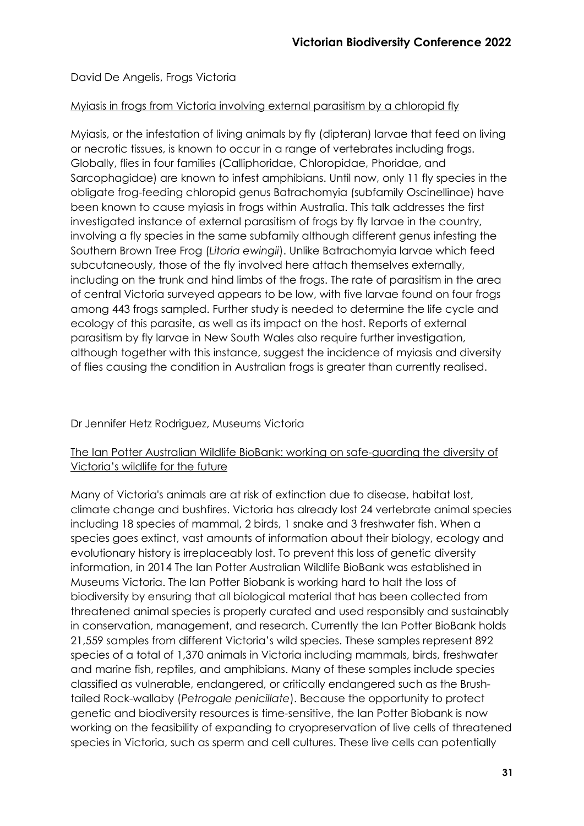David De Angelis, Frogs Victoria

# Myiasis in frogs from Victoria involving external parasitism by a chloropid fly

Myiasis, or the infestation of living animals by fly (dipteran) larvae that feed on living or necrotic tissues, is known to occur in a range of vertebrates including frogs. Globally, flies in four families (Calliphoridae, Chloropidae, Phoridae, and Sarcophagidae) are known to infest amphibians. Until now, only 11 fly species in the obligate frog-feeding chloropid genus Batrachomyia (subfamily Oscinellinae) have been known to cause myiasis in frogs within Australia. This talk addresses the first investigated instance of external parasitism of frogs by fly larvae in the country, involving a fly species in the same subfamily although different genus infesting the Southern Brown Tree Frog (*Litoria ewingii*). Unlike Batrachomyia larvae which feed subcutaneously, those of the fly involved here attach themselves externally, including on the trunk and hind limbs of the frogs. The rate of parasitism in the area of central Victoria surveyed appears to be low, with five larvae found on four frogs among 443 frogs sampled. Further study is needed to determine the life cycle and ecology of this parasite, as well as its impact on the host. Reports of external parasitism by fly larvae in New South Wales also require further investigation, although together with this instance, suggest the incidence of myiasis and diversity of flies causing the condition in Australian frogs is greater than currently realised.

# Dr Jennifer Hetz Rodriguez, Museums Victoria

# The Ian Potter Australian Wildlife BioBank: working on safe-guarding the diversity of Victoria's wildlife for the future

Many of Victoria's animals are at risk of extinction due to disease, habitat lost, climate change and bushfires. Victoria has already lost 24 vertebrate animal species including 18 species of mammal, 2 birds, 1 snake and 3 freshwater fish. When a species goes extinct, vast amounts of information about their biology, ecology and evolutionary history is irreplaceably lost. To prevent this loss of genetic diversity information, in 2014 The Ian Potter Australian Wildlife BioBank was established in Museums Victoria. The Ian Potter Biobank is working hard to halt the loss of biodiversity by ensuring that all biological material that has been collected from threatened animal species is properly curated and used responsibly and sustainably in conservation, management, and research. Currently the Ian Potter BioBank holds 21,559 samples from different Victoria's wild species. These samples represent 892 species of a total of 1,370 animals in Victoria including mammals, birds, freshwater and marine fish, reptiles, and amphibians. Many of these samples include species classified as vulnerable, endangered, or critically endangered such as the Brushtailed Rock-wallaby (*Petrogale penicillate*). Because the opportunity to protect genetic and biodiversity resources is time-sensitive, the Ian Potter Biobank is now working on the feasibility of expanding to cryopreservation of live cells of threatened species in Victoria, such as sperm and cell cultures. These live cells can potentially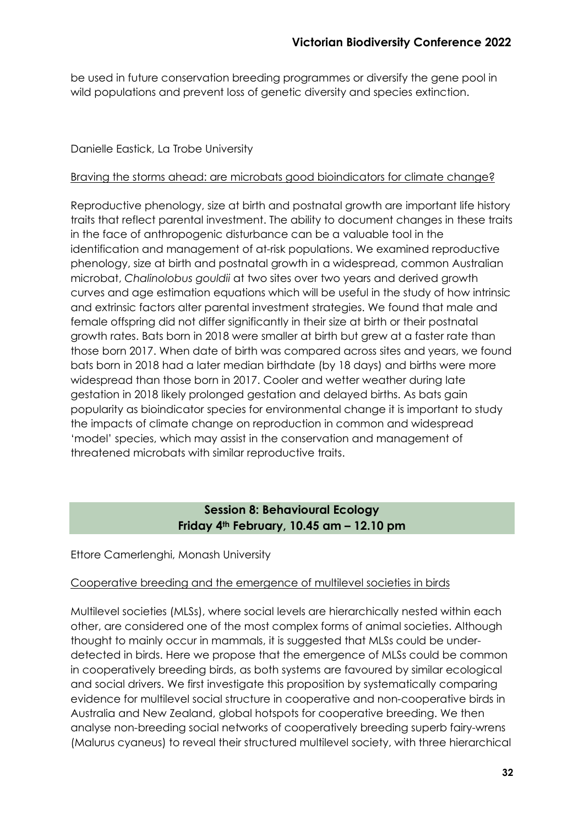be used in future conservation breeding programmes or diversify the gene pool in wild populations and prevent loss of genetic diversity and species extinction.

# Danielle Eastick, La Trobe University

# Braving the storms ahead: are microbats good bioindicators for climate change?

Reproductive phenology, size at birth and postnatal growth are important life history traits that reflect parental investment. The ability to document changes in these traits in the face of anthropogenic disturbance can be a valuable tool in the identification and management of at-risk populations. We examined reproductive phenology, size at birth and postnatal growth in a widespread, common Australian microbat, *Chalinolobus gouldii* at two sites over two years and derived growth curves and age estimation equations which will be useful in the study of how intrinsic and extrinsic factors alter parental investment strategies. We found that male and female offspring did not differ significantly in their size at birth or their postnatal growth rates. Bats born in 2018 were smaller at birth but grew at a faster rate than those born 2017. When date of birth was compared across sites and years, we found bats born in 2018 had a later median birthdate (by 18 days) and births were more widespread than those born in 2017. Cooler and wetter weather during late gestation in 2018 likely prolonged gestation and delayed births. As bats gain popularity as bioindicator species for environmental change it is important to study the impacts of climate change on reproduction in common and widespread 'model' species, which may assist in the conservation and management of threatened microbats with similar reproductive traits.

# **Session 8: Behavioural Ecology Friday 4th February, 10.45 am – 12.10 pm**

# Ettore Camerlenghi, Monash University

# Cooperative breeding and the emergence of multilevel societies in birds

Multilevel societies (MLSs), where social levels are hierarchically nested within each other, are considered one of the most complex forms of animal societies. Although thought to mainly occur in mammals, it is suggested that MLSs could be underdetected in birds. Here we propose that the emergence of MLSs could be common in cooperatively breeding birds, as both systems are favoured by similar ecological and social drivers. We first investigate this proposition by systematically comparing evidence for multilevel social structure in cooperative and non-cooperative birds in Australia and New Zealand, global hotspots for cooperative breeding. We then analyse non-breeding social networks of cooperatively breeding superb fairy-wrens (Malurus cyaneus) to reveal their structured multilevel society, with three hierarchical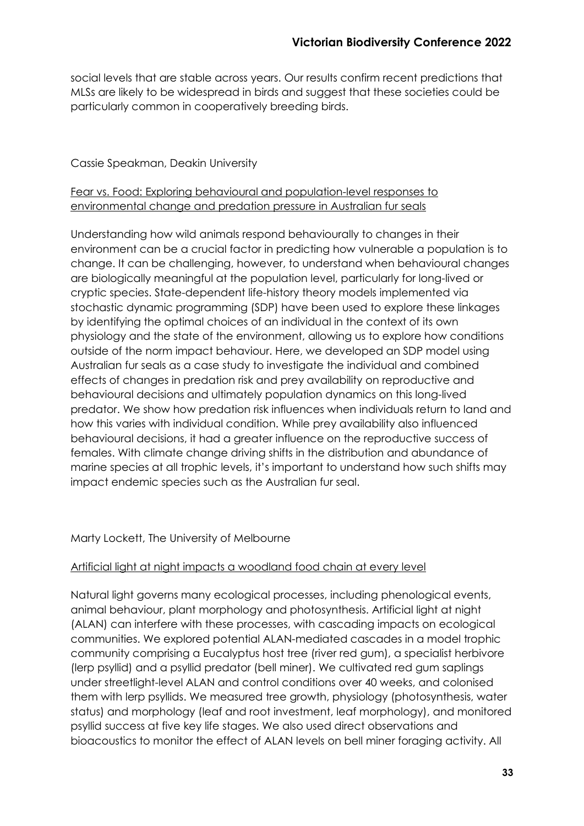social levels that are stable across years. Our results confirm recent predictions that MLSs are likely to be widespread in birds and suggest that these societies could be particularly common in cooperatively breeding birds.

# Cassie Speakman, Deakin University

# Fear vs. Food: Exploring behavioural and population-level responses to environmental change and predation pressure in Australian fur seals

Understanding how wild animals respond behaviourally to changes in their environment can be a crucial factor in predicting how vulnerable a population is to change. It can be challenging, however, to understand when behavioural changes are biologically meaningful at the population level, particularly for long-lived or cryptic species. State-dependent life-history theory models implemented via stochastic dynamic programming (SDP) have been used to explore these linkages by identifying the optimal choices of an individual in the context of its own physiology and the state of the environment, allowing us to explore how conditions outside of the norm impact behaviour. Here, we developed an SDP model using Australian fur seals as a case study to investigate the individual and combined effects of changes in predation risk and prey availability on reproductive and behavioural decisions and ultimately population dynamics on this long-lived predator. We show how predation risk influences when individuals return to land and how this varies with individual condition. While prey availability also influenced behavioural decisions, it had a greater influence on the reproductive success of females. With climate change driving shifts in the distribution and abundance of marine species at all trophic levels, it's important to understand how such shifts may impact endemic species such as the Australian fur seal.

#### Marty Lockett, The University of Melbourne

#### Artificial light at night impacts a woodland food chain at every level

Natural light governs many ecological processes, including phenological events, animal behaviour, plant morphology and photosynthesis. Artificial light at night (ALAN) can interfere with these processes, with cascading impacts on ecological communities. We explored potential ALAN-mediated cascades in a model trophic community comprising a Eucalyptus host tree (river red gum), a specialist herbivore (lerp psyllid) and a psyllid predator (bell miner). We cultivated red gum saplings under streetlight-level ALAN and control conditions over 40 weeks, and colonised them with lerp psyllids. We measured tree growth, physiology (photosynthesis, water status) and morphology (leaf and root investment, leaf morphology), and monitored psyllid success at five key life stages. We also used direct observations and bioacoustics to monitor the effect of ALAN levels on bell miner foraging activity. All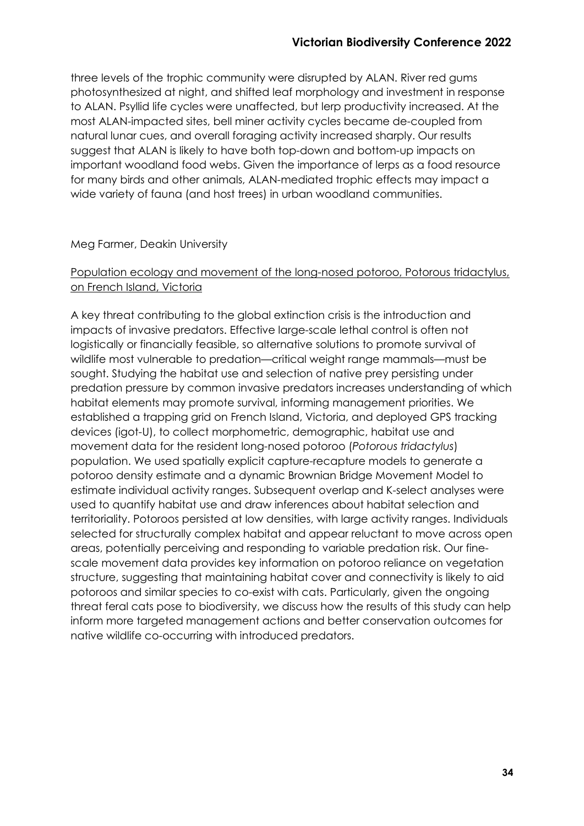three levels of the trophic community were disrupted by ALAN. River red gums photosynthesized at night, and shifted leaf morphology and investment in response to ALAN. Psyllid life cycles were unaffected, but lerp productivity increased. At the most ALAN-impacted sites, bell miner activity cycles became de-coupled from natural lunar cues, and overall foraging activity increased sharply. Our results suggest that ALAN is likely to have both top-down and bottom-up impacts on important woodland food webs. Given the importance of lerps as a food resource for many birds and other animals, ALAN-mediated trophic effects may impact a wide variety of fauna (and host trees) in urban woodland communities.

#### Meg Farmer, Deakin University

#### Population ecology and movement of the long-nosed potoroo, Potorous tridactylus, on French Island, Victoria

A key threat contributing to the global extinction crisis is the introduction and impacts of invasive predators. Effective large-scale lethal control is often not logistically or financially feasible, so alternative solutions to promote survival of wildlife most vulnerable to predation—critical weight range mammals—must be sought. Studying the habitat use and selection of native prey persisting under predation pressure by common invasive predators increases understanding of which habitat elements may promote survival, informing management priorities. We established a trapping grid on French Island, Victoria, and deployed GPS tracking devices (igot-U), to collect morphometric, demographic, habitat use and movement data for the resident long-nosed potoroo (*Potorous tridactylus*) population. We used spatially explicit capture-recapture models to generate a potoroo density estimate and a dynamic Brownian Bridge Movement Model to estimate individual activity ranges. Subsequent overlap and K-select analyses were used to quantify habitat use and draw inferences about habitat selection and territoriality. Potoroos persisted at low densities, with large activity ranges. Individuals selected for structurally complex habitat and appear reluctant to move across open areas, potentially perceiving and responding to variable predation risk. Our finescale movement data provides key information on potoroo reliance on vegetation structure, suggesting that maintaining habitat cover and connectivity is likely to aid potoroos and similar species to co-exist with cats. Particularly, given the ongoing threat feral cats pose to biodiversity, we discuss how the results of this study can help inform more targeted management actions and better conservation outcomes for native wildlife co-occurring with introduced predators.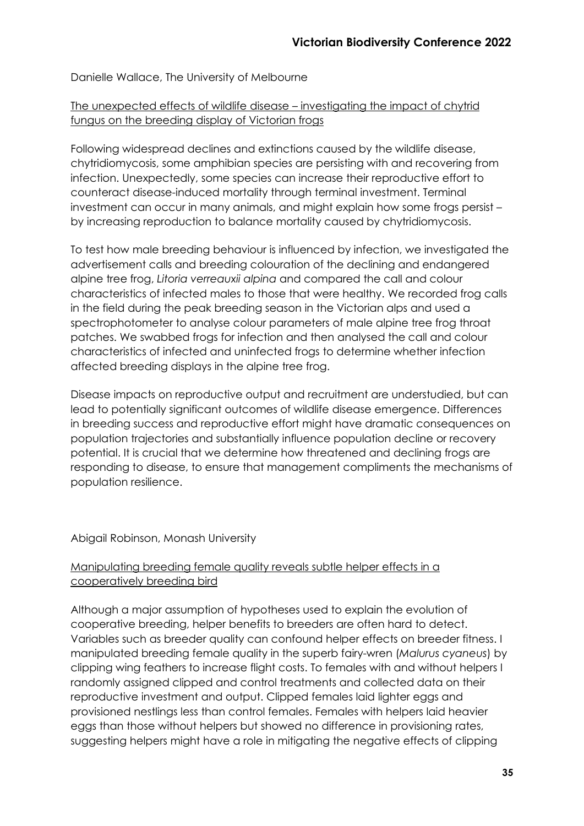Danielle Wallace, The University of Melbourne

# The unexpected effects of wildlife disease – investigating the impact of chytrid fungus on the breeding display of Victorian frogs

Following widespread declines and extinctions caused by the wildlife disease, chytridiomycosis, some amphibian species are persisting with and recovering from infection. Unexpectedly, some species can increase their reproductive effort to counteract disease-induced mortality through terminal investment. Terminal investment can occur in many animals, and might explain how some frogs persist – by increasing reproduction to balance mortality caused by chytridiomycosis.

To test how male breeding behaviour is influenced by infection, we investigated the advertisement calls and breeding colouration of the declining and endangered alpine tree frog, *Litoria verreauxii alpina* and compared the call and colour characteristics of infected males to those that were healthy. We recorded frog calls in the field during the peak breeding season in the Victorian alps and used a spectrophotometer to analyse colour parameters of male alpine tree frog throat patches. We swabbed frogs for infection and then analysed the call and colour characteristics of infected and uninfected frogs to determine whether infection affected breeding displays in the alpine tree frog.

Disease impacts on reproductive output and recruitment are understudied, but can lead to potentially significant outcomes of wildlife disease emergence. Differences in breeding success and reproductive effort might have dramatic consequences on population trajectories and substantially influence population decline or recovery potential. It is crucial that we determine how threatened and declining frogs are responding to disease, to ensure that management compliments the mechanisms of population resilience.

#### Abigail Robinson, Monash University

# Manipulating breeding female quality reveals subtle helper effects in a cooperatively breeding bird

Although a major assumption of hypotheses used to explain the evolution of cooperative breeding, helper benefits to breeders are often hard to detect. Variables such as breeder quality can confound helper effects on breeder fitness. I manipulated breeding female quality in the superb fairy-wren (*Malurus cyaneus*) by clipping wing feathers to increase flight costs. To females with and without helpers I randomly assigned clipped and control treatments and collected data on their reproductive investment and output. Clipped females laid lighter eggs and provisioned nestlings less than control females. Females with helpers laid heavier eggs than those without helpers but showed no difference in provisioning rates, suggesting helpers might have a role in mitigating the negative effects of clipping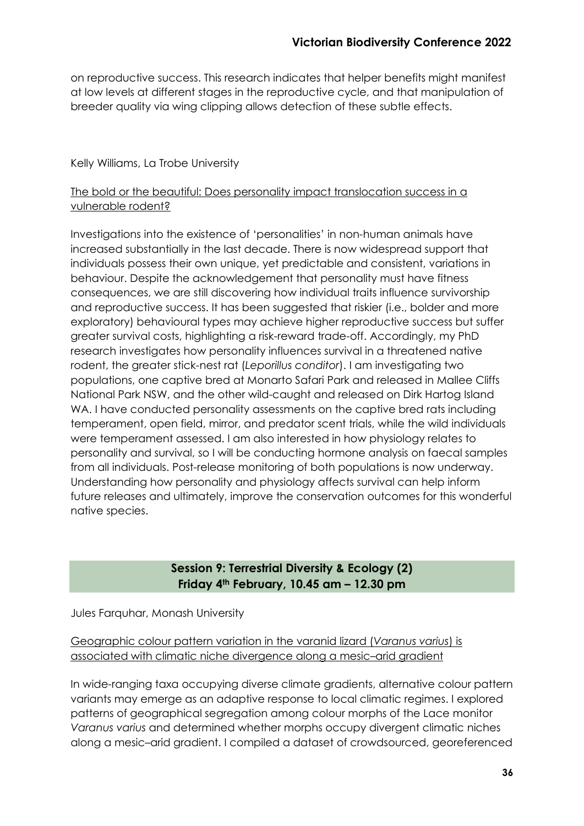on reproductive success. This research indicates that helper benefits might manifest at low levels at different stages in the reproductive cycle, and that manipulation of breeder quality via wing clipping allows detection of these subtle effects.

# Kelly Williams, La Trobe University

# The bold or the beautiful: Does personality impact translocation success in a vulnerable rodent?

Investigations into the existence of 'personalities' in non-human animals have increased substantially in the last decade. There is now widespread support that individuals possess their own unique, yet predictable and consistent, variations in behaviour. Despite the acknowledgement that personality must have fitness consequences, we are still discovering how individual traits influence survivorship and reproductive success. It has been suggested that riskier (i.e., bolder and more exploratory) behavioural types may achieve higher reproductive success but suffer greater survival costs, highlighting a risk-reward trade-off. Accordingly, my PhD research investigates how personality influences survival in a threatened native rodent, the greater stick-nest rat (*Leporillus conditor*). I am investigating two populations, one captive bred at Monarto Safari Park and released in Mallee Cliffs National Park NSW, and the other wild-caught and released on Dirk Hartog Island WA. I have conducted personality assessments on the captive bred rats including temperament, open field, mirror, and predator scent trials, while the wild individuals were temperament assessed. I am also interested in how physiology relates to personality and survival, so I will be conducting hormone analysis on faecal samples from all individuals. Post-release monitoring of both populations is now underway. Understanding how personality and physiology affects survival can help inform future releases and ultimately, improve the conservation outcomes for this wonderful native species.

# **Session 9: Terrestrial Diversity & Ecology (2) Friday 4th February, 10.45 am – 12.30 pm**

Jules Farquhar, Monash University

Geographic colour pattern variation in the varanid lizard (*Varanus varius*) is associated with climatic niche divergence along a mesic–arid gradient

In wide-ranging taxa occupying diverse climate gradients, alternative colour pattern variants may emerge as an adaptive response to local climatic regimes. I explored patterns of geographical segregation among colour morphs of the Lace monitor *Varanus varius* and determined whether morphs occupy divergent climatic niches along a mesic–arid gradient. I compiled a dataset of crowdsourced, georeferenced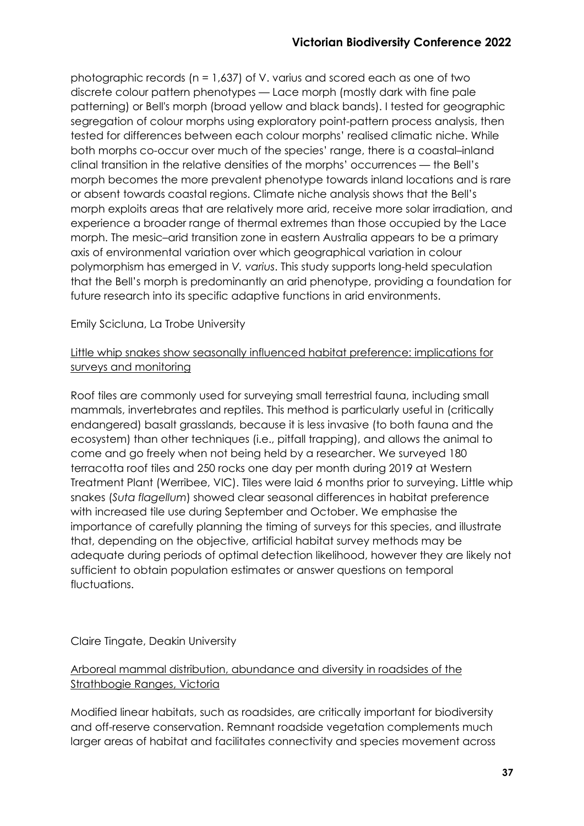photographic records (n = 1,637) of V. varius and scored each as one of two discrete colour pattern phenotypes — Lace morph (mostly dark with fine pale patterning) or Bell's morph (broad yellow and black bands). I tested for geographic segregation of colour morphs using exploratory point-pattern process analysis, then tested for differences between each colour morphs' realised climatic niche. While both morphs co-occur over much of the species' range, there is a coastal–inland clinal transition in the relative densities of the morphs' occurrences — the Bell's morph becomes the more prevalent phenotype towards inland locations and is rare or absent towards coastal regions. Climate niche analysis shows that the Bell's morph exploits areas that are relatively more arid, receive more solar irradiation, and experience a broader range of thermal extremes than those occupied by the Lace morph. The mesic–arid transition zone in eastern Australia appears to be a primary axis of environmental variation over which geographical variation in colour polymorphism has emerged in *V. varius*. This study supports long-held speculation that the Bell's morph is predominantly an arid phenotype, providing a foundation for future research into its specific adaptive functions in arid environments.

Emily Scicluna, La Trobe University

# Little whip snakes show seasonally influenced habitat preference: implications for surveys and monitoring

Roof tiles are commonly used for surveying small terrestrial fauna, including small mammals, invertebrates and reptiles. This method is particularly useful in (critically endangered) basalt grasslands, because it is less invasive (to both fauna and the ecosystem) than other techniques (i.e., pitfall trapping), and allows the animal to come and go freely when not being held by a researcher. We surveyed 180 terracotta roof tiles and 250 rocks one day per month during 2019 at Western Treatment Plant (Werribee, VIC). Tiles were laid 6 months prior to surveying. Little whip snakes (*Suta flagellum*) showed clear seasonal differences in habitat preference with increased tile use during September and October. We emphasise the importance of carefully planning the timing of surveys for this species, and illustrate that, depending on the objective, artificial habitat survey methods may be adequate during periods of optimal detection likelihood, however they are likely not sufficient to obtain population estimates or answer questions on temporal fluctuations.

# Claire Tingate, Deakin University

Arboreal mammal distribution, abundance and diversity in roadsides of the Strathbogie Ranges, Victoria

Modified linear habitats, such as roadsides, are critically important for biodiversity and off-reserve conservation. Remnant roadside vegetation complements much larger areas of habitat and facilitates connectivity and species movement across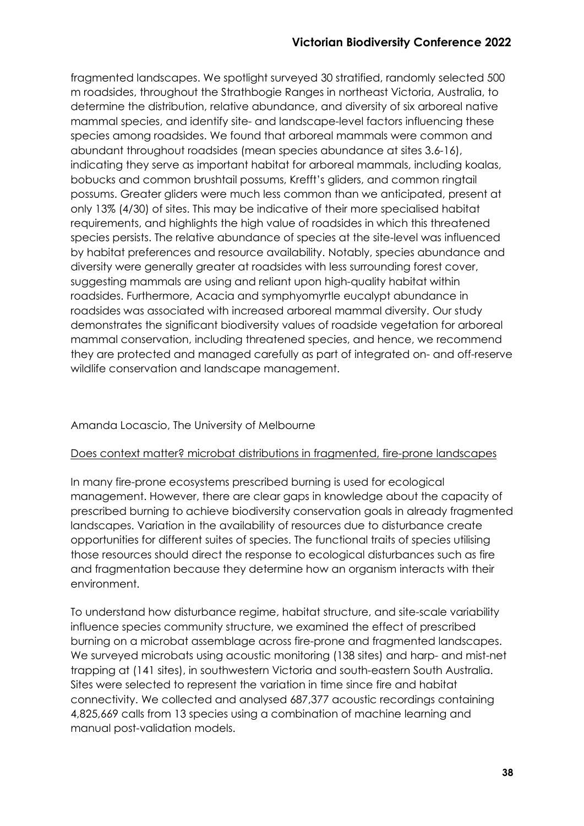fragmented landscapes. We spotlight surveyed 30 stratified, randomly selected 500 m roadsides, throughout the Strathbogie Ranges in northeast Victoria, Australia, to determine the distribution, relative abundance, and diversity of six arboreal native mammal species, and identify site- and landscape-level factors influencing these species among roadsides. We found that arboreal mammals were common and abundant throughout roadsides (mean species abundance at sites 3.6-16), indicating they serve as important habitat for arboreal mammals, including koalas, bobucks and common brushtail possums, Krefft's gliders, and common ringtail possums. Greater gliders were much less common than we anticipated, present at only 13% (4/30) of sites. This may be indicative of their more specialised habitat requirements, and highlights the high value of roadsides in which this threatened species persists. The relative abundance of species at the site-level was influenced by habitat preferences and resource availability. Notably, species abundance and diversity were generally greater at roadsides with less surrounding forest cover, suggesting mammals are using and reliant upon high-quality habitat within roadsides. Furthermore, Acacia and symphyomyrtle eucalypt abundance in roadsides was associated with increased arboreal mammal diversity. Our study demonstrates the significant biodiversity values of roadside vegetation for arboreal mammal conservation, including threatened species, and hence, we recommend they are protected and managed carefully as part of integrated on- and off-reserve wildlife conservation and landscape management.

# Amanda Locascio, The University of Melbourne

#### Does context matter? microbat distributions in fragmented, fire-prone landscapes

In many fire-prone ecosystems prescribed burning is used for ecological management. However, there are clear gaps in knowledge about the capacity of prescribed burning to achieve biodiversity conservation goals in already fragmented landscapes. Variation in the availability of resources due to disturbance create opportunities for different suites of species. The functional traits of species utilising those resources should direct the response to ecological disturbances such as fire and fragmentation because they determine how an organism interacts with their environment.

To understand how disturbance regime, habitat structure, and site-scale variability influence species community structure, we examined the effect of prescribed burning on a microbat assemblage across fire-prone and fragmented landscapes. We surveyed microbats using acoustic monitoring (138 sites) and harp- and mist-net trapping at (141 sites), in southwestern Victoria and south-eastern South Australia. Sites were selected to represent the variation in time since fire and habitat connectivity. We collected and analysed 687,377 acoustic recordings containing 4,825,669 calls from 13 species using a combination of machine learning and manual post-validation models.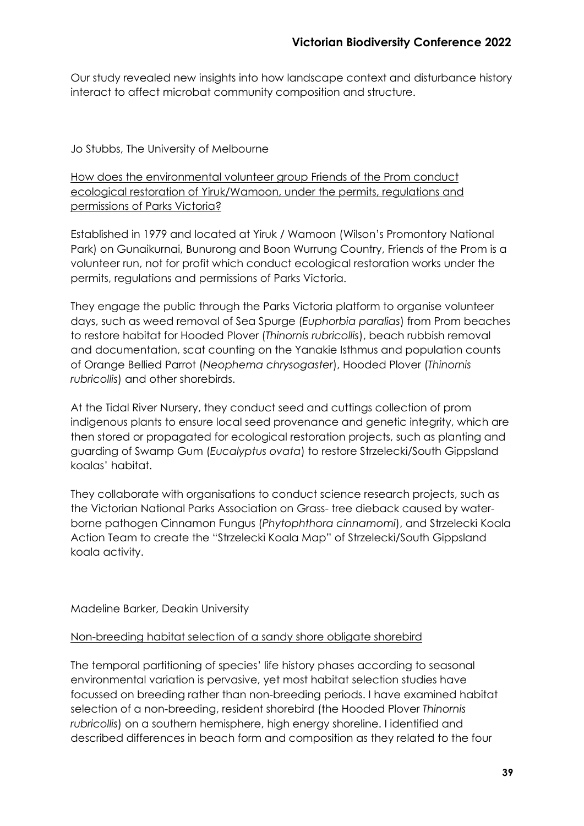Our study revealed new insights into how landscape context and disturbance history interact to affect microbat community composition and structure.

# Jo Stubbs, The University of Melbourne

How does the environmental volunteer group Friends of the Prom conduct ecological restoration of Yiruk/Wamoon, under the permits, regulations and permissions of Parks Victoria?

Established in 1979 and located at Yiruk / Wamoon (Wilson's Promontory National Park) on Gunaikurnai, Bunurong and Boon Wurrung Country, Friends of the Prom is a volunteer run, not for profit which conduct ecological restoration works under the permits, regulations and permissions of Parks Victoria.

They engage the public through the Parks Victoria platform to organise volunteer days, such as weed removal of Sea Spurge (*Euphorbia paralias*) from Prom beaches to restore habitat for Hooded Plover (*Thinornis rubricollis*), beach rubbish removal and documentation, scat counting on the Yanakie Isthmus and population counts of Orange Bellied Parrot (*Neophema chrysogaster*), Hooded Plover (*Thinornis rubricollis*) and other shorebirds.

At the Tidal River Nursery, they conduct seed and cuttings collection of prom indigenous plants to ensure local seed provenance and genetic integrity, which are then stored or propagated for ecological restoration projects, such as planting and guarding of Swamp Gum (*Eucalyptus ovata*) to restore Strzelecki/South Gippsland koalas' habitat.

They collaborate with organisations to conduct science research projects, such as the Victorian National Parks Association on Grass- tree dieback caused by waterborne pathogen Cinnamon Fungus (*Phytophthora cinnamomi*), and Strzelecki Koala Action Team to create the "Strzelecki Koala Map" of Strzelecki/South Gippsland koala activity.

Madeline Barker, Deakin University

#### Non-breeding habitat selection of a sandy shore obligate shorebird

The temporal partitioning of species' life history phases according to seasonal environmental variation is pervasive, yet most habitat selection studies have focussed on breeding rather than non-breeding periods. I have examined habitat selection of a non-breeding, resident shorebird (the Hooded Plover *Thinornis rubricollis*) on a southern hemisphere, high energy shoreline. I identified and described differences in beach form and composition as they related to the four